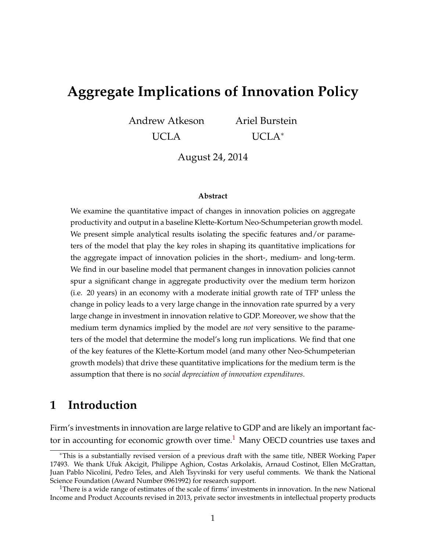# **Aggregate Implications of Innovation Policy**

Andrew Atkeson

UCLA

Ariel Burstein UCLA<sup>∗</sup>

August 24, 2014

#### **Abstract**

We examine the quantitative impact of changes in innovation policies on aggregate productivity and output in a baseline Klette-Kortum Neo-Schumpeterian growth model. We present simple analytical results isolating the specific features and/or parameters of the model that play the key roles in shaping its quantitative implications for the aggregate impact of innovation policies in the short-, medium- and long-term. We find in our baseline model that permanent changes in innovation policies cannot spur a significant change in aggregate productivity over the medium term horizon (i.e. 20 years) in an economy with a moderate initial growth rate of TFP unless the change in policy leads to a very large change in the innovation rate spurred by a very large change in investment in innovation relative to GDP. Moreover, we show that the medium term dynamics implied by the model are *not* very sensitive to the parameters of the model that determine the model's long run implications. We find that one of the key features of the Klette-Kortum model (and many other Neo-Schumpeterian growth models) that drive these quantitative implications for the medium term is the assumption that there is no *social depreciation of innovation expenditures*.

### **1 Introduction**

Firm's investments in innovation are large relative to GDP and are likely an important fac-tor in accounting for economic growth over time.<sup>[1](#page-0-0)</sup> Many OECD countries use taxes and

<sup>∗</sup>This is a substantially revised version of a previous draft with the same title, NBER Working Paper 17493. We thank Ufuk Akcigit, Philippe Aghion, Costas Arkolakis, Arnaud Costinot, Ellen McGrattan, Juan Pablo Nicolini, Pedro Teles, and Aleh Tsyvinski for very useful comments. We thank the National Science Foundation (Award Number 0961992) for research support.

<span id="page-0-0"></span><sup>&</sup>lt;sup>1</sup>There is a wide range of estimates of the scale of firms' investments in innovation. In the new National Income and Product Accounts revised in 2013, private sector investments in intellectual property products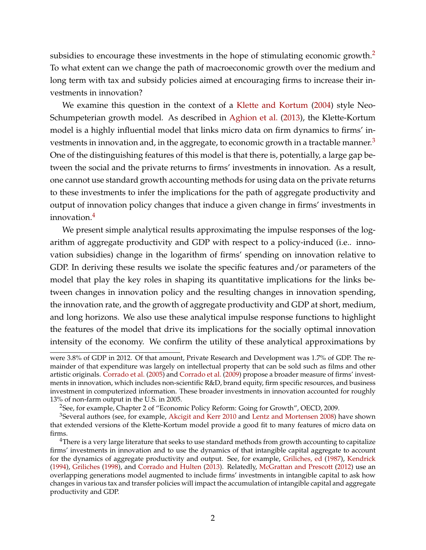subsidies to encourage these investments in the hope of stimulating economic growth.<sup>[2](#page-1-0)</sup> To what extent can we change the path of macroeconomic growth over the medium and long term with tax and subsidy policies aimed at encouraging firms to increase their investments in innovation?

We examine this question in the context of a [Klette and Kortum](#page-42-0) [\(2004\)](#page-42-0) style Neo-Schumpeterian growth model. As described in [Aghion et al.](#page-40-0) [\(2013\)](#page-40-0), the Klette-Kortum model is a highly influential model that links micro data on firm dynamics to firms' in-vestments in innovation and, in the aggregate, to economic growth in a tractable manner.<sup>[3](#page-1-1)</sup> One of the distinguishing features of this model is that there is, potentially, a large gap between the social and the private returns to firms' investments in innovation. As a result, one cannot use standard growth accounting methods for using data on the private returns to these investments to infer the implications for the path of aggregate productivity and output of innovation policy changes that induce a given change in firms' investments in innovation.[4](#page-1-2)

We present simple analytical results approximating the impulse responses of the logarithm of aggregate productivity and GDP with respect to a policy-induced (i.e.. innovation subsidies) change in the logarithm of firms' spending on innovation relative to GDP. In deriving these results we isolate the specific features and/or parameters of the model that play the key roles in shaping its quantitative implications for the links between changes in innovation policy and the resulting changes in innovation spending, the innovation rate, and the growth of aggregate productivity and GDP at short, medium, and long horizons. We also use these analytical impulse response functions to highlight the features of the model that drive its implications for the socially optimal innovation intensity of the economy. We confirm the utility of these analytical approximations by

were 3.8% of GDP in 2012. Of that amount, Private Research and Development was 1.7% of GDP. The remainder of that expenditure was largely on intellectual property that can be sold such as films and other artistic originals. [Corrado et al.](#page-41-0) [\(2005\)](#page-41-0) and [Corrado et al.](#page-41-1) [\(2009\)](#page-41-1) propose a broader measure of firms' investments in innovation, which includes non-scientific R&D, brand equity, firm specific resources, and business investment in computerized information. These broader investments in innovation accounted for roughly 13% of non-farm output in the U.S. in 2005.

<span id="page-1-1"></span><span id="page-1-0"></span><sup>&</sup>lt;sup>2</sup>See, for example, Chapter 2 of "Economic Policy Reform: Going for Growth", OECD, 2009.

<sup>&</sup>lt;sup>3</sup>Several authors (see, for example, [Akcigit and Kerr](#page-40-1) [2010](#page-40-1) and [Lentz and Mortensen](#page-42-1) [2008\)](#page-42-1) have shown that extended versions of the Klette-Kortum model provide a good fit to many features of micro data on firms.

<span id="page-1-2"></span><sup>&</sup>lt;sup>4</sup>There is a very large literature that seeks to use standard methods from growth accounting to capitalize firms' investments in innovation and to use the dynamics of that intangible capital aggregate to account for the dynamics of aggregate productivity and output. See, for example, [Griliches, ed](#page-41-2) [\(1987\)](#page-41-2), [Kendrick](#page-41-3) [\(1994\)](#page-41-3), [Griliches](#page-41-4) [\(1998\)](#page-41-4), and [Corrado and Hulten](#page-41-5) [\(2013\)](#page-41-5). Relatedly, [McGrattan and Prescott](#page-42-2) [\(2012\)](#page-42-2) use an overlapping generations model augmented to include firms' investments in intangible capital to ask how changes in various tax and transfer policies will impact the accumulation of intangible capital and aggregate productivity and GDP.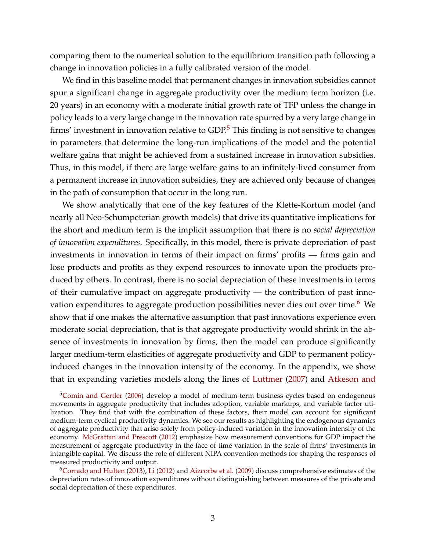comparing them to the numerical solution to the equilibrium transition path following a change in innovation policies in a fully calibrated version of the model.

We find in this baseline model that permanent changes in innovation subsidies cannot spur a significant change in aggregate productivity over the medium term horizon (i.e. 20 years) in an economy with a moderate initial growth rate of TFP unless the change in policy leads to a very large change in the innovation rate spurred by a very large change in firms' investment in innovation relative to  $GDP^5$  $GDP^5$ . This finding is not sensitive to changes in parameters that determine the long-run implications of the model and the potential welfare gains that might be achieved from a sustained increase in innovation subsidies. Thus, in this model, if there are large welfare gains to an infinitely-lived consumer from a permanent increase in innovation subsidies, they are achieved only because of changes in the path of consumption that occur in the long run.

We show analytically that one of the key features of the Klette-Kortum model (and nearly all Neo-Schumpeterian growth models) that drive its quantitative implications for the short and medium term is the implicit assumption that there is no *social depreciation of innovation expenditures*. Specifically, in this model, there is private depreciation of past investments in innovation in terms of their impact on firms' profits — firms gain and lose products and profits as they expend resources to innovate upon the products produced by others. In contrast, there is no social depreciation of these investments in terms of their cumulative impact on aggregate productivity — the contribution of past inno-vation expenditures to aggregate production possibilities never dies out over time.<sup>[6](#page-2-1)</sup> We show that if one makes the alternative assumption that past innovations experience even moderate social depreciation, that is that aggregate productivity would shrink in the absence of investments in innovation by firms, then the model can produce significantly larger medium-term elasticities of aggregate productivity and GDP to permanent policyinduced changes in the innovation intensity of the economy. In the appendix, we show that in expanding varieties models along the lines of [Luttmer](#page-42-3) [\(2007\)](#page-42-3) and [Atkeson and](#page-40-2)

<span id="page-2-0"></span><sup>&</sup>lt;sup>5</sup>[Comin and Gertler](#page-41-6) [\(2006\) develop a model of medium-term business cycles based on endogenous](#page-40-2) [movements in aggregate productivity that includes adoption, variable markups, and variable factor uti](#page-40-2)[lization. They find that with the combination of these factors, their model can account for significant](#page-40-2) [medium-term cyclical productivity dynamics. We see our results as highlighting the endogenous dynamics](#page-40-2) [of aggregate productivity that arise solely from policy-induced variation in the innovation intensity of the](#page-40-2) economy. [McGrattan and Prescott](#page-42-2) [\(2012\) emphasize how measurement conventions for GDP impact the](#page-40-2) [measurement of aggregate productivity in the face of time variation in the scale of firms' investments in](#page-40-2) [intangible capital. We discuss the role of different NIPA convention methods for shaping the responses of](#page-40-2) [measured productivity and output.](#page-40-2)

<span id="page-2-1"></span><sup>6</sup>[Corrado and Hulten](#page-41-5) [\(2013\)](#page-41-5), [Li](#page-42-4) [\(2012\)](#page-42-4) and [Aizcorbe et al.](#page-40-3) [\(2009\) discuss comprehensive estimates of the](#page-40-2) [depreciation rates of innovation expenditures without distinguishing between measures of the private and](#page-40-2) [social depreciation of these expenditures.](#page-40-2)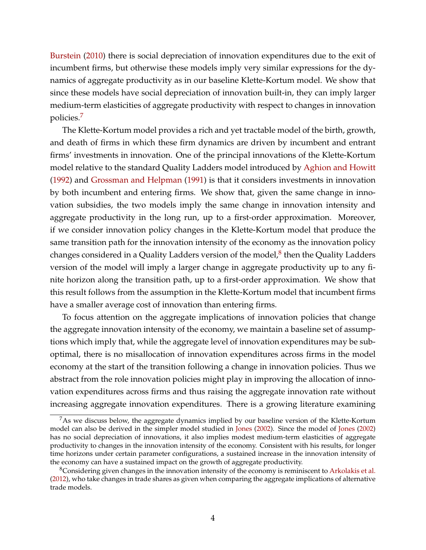[Burstein](#page-40-2) [\(2010\)](#page-40-2) there is social depreciation of innovation expenditures due to the exit of incumbent firms, but otherwise these models imply very similar expressions for the dynamics of aggregate productivity as in our baseline Klette-Kortum model. We show that since these models have social depreciation of innovation built-in, they can imply larger medium-term elasticities of aggregate productivity with respect to changes in innovation policies.[7](#page-3-0)

The Klette-Kortum model provides a rich and yet tractable model of the birth, growth, and death of firms in which these firm dynamics are driven by incumbent and entrant firms' investments in innovation. One of the principal innovations of the Klette-Kortum model relative to the standard Quality Ladders model introduced by [Aghion and Howitt](#page-40-4) [\(1992\)](#page-40-4) and [Grossman and Helpman](#page-41-7) [\(1991\)](#page-41-7) is that it considers investments in innovation by both incumbent and entering firms. We show that, given the same change in innovation subsidies, the two models imply the same change in innovation intensity and aggregate productivity in the long run, up to a first-order approximation. Moreover, if we consider innovation policy changes in the Klette-Kortum model that produce the same transition path for the innovation intensity of the economy as the innovation policy changes considered in a Quality Ladders version of the model, $^8$  $^8$  then the Quality Ladders version of the model will imply a larger change in aggregate productivity up to any finite horizon along the transition path, up to a first-order approximation. We show that this result follows from the assumption in the Klette-Kortum model that incumbent firms have a smaller average cost of innovation than entering firms.

To focus attention on the aggregate implications of innovation policies that change the aggregate innovation intensity of the economy, we maintain a baseline set of assumptions which imply that, while the aggregate level of innovation expenditures may be suboptimal, there is no misallocation of innovation expenditures across firms in the model economy at the start of the transition following a change in innovation policies. Thus we abstract from the role innovation policies might play in improving the allocation of innovation expenditures across firms and thus raising the aggregate innovation rate without increasing aggregate innovation expenditures. There is a growing literature examining

<span id="page-3-0"></span> ${}^{7}$ As we discuss below, the aggregate dynamics implied by our baseline version of the Klette-Kortum model can also be derived in the simpler model studied in [Jones](#page-41-8) [\(2002\)](#page-41-8). Since the model of [Jones](#page-41-8) [\(2002\)](#page-41-8) has no social depreciation of innovations, it also implies modest medium-term elasticities of aggregate productivity to changes in the innovation intensity of the economy. Consistent with his results, for longer time horizons under certain parameter configurations, a sustained increase in the innovation intensity of the economy can have a sustained impact on the growth of aggregate productivity.

<span id="page-3-1"></span><sup>8</sup>Considering given changes in the innovation intensity of the economy is reminiscent to [Arkolakis et al.](#page-40-5) [\(2012\)](#page-40-5), who take changes in trade shares as given when comparing the aggregate implications of alternative trade models.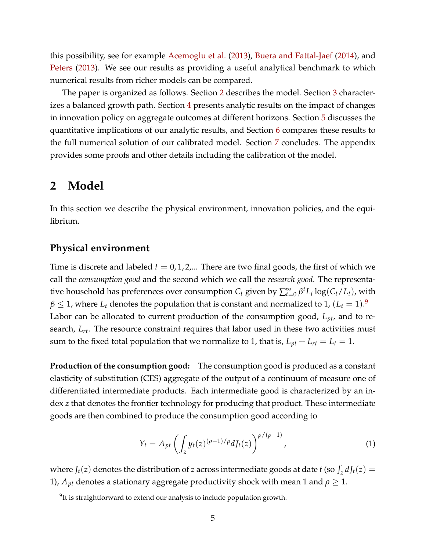this possibility, see for example [Acemoglu et al.](#page-40-6) [\(2013\)](#page-40-6), [Buera and Fattal-Jaef](#page-41-9) [\(2014\)](#page-41-9), and [Peters](#page-42-5) [\(2013\)](#page-42-5). We see our results as providing a useful analytical benchmark to which numerical results from richer models can be compared.

The paper is organized as follows. Section [2](#page-4-0) describes the model. Section [3](#page-13-0) character-izes a balanced growth path. Section [4](#page-15-0) presents analytic results on the impact of changes in innovation policy on aggregate outcomes at different horizons. Section [5](#page-25-0) discusses the quantitative implications of our analytic results, and Section [6](#page-33-0) compares these results to the full numerical solution of our calibrated model. Section [7](#page-39-0) concludes. The appendix provides some proofs and other details including the calibration of the model.

#### <span id="page-4-0"></span>**2 Model**

In this section we describe the physical environment, innovation policies, and the equilibrium.

#### **Physical environment**

Time is discrete and labeled  $t = 0, 1, 2, ...$  There are two final goods, the first of which we call the *consumption good* and the second which we call the *research good.* The representative household has preferences over consumption  $C_t$  given by  $\sum_{t=0}^{\infty} \beta^t L_t \log(C_t/L_t)$ , with  $\beta \leq 1$ , where  $L_t$  denotes the population that is constant and normalized to 1,  $(L_t = 1).^{9}$  $(L_t = 1).^{9}$  $(L_t = 1).^{9}$ Labor can be allocated to current production of the consumption good, *Lpt*, and to research, *Lrt*. The resource constraint requires that labor used in these two activities must sum to the fixed total population that we normalize to 1, that is,  $L_{pt} + L_{rt} = L_t = 1$ .

**Production of the consumption good:** The consumption good is produced as a constant elasticity of substitution (CES) aggregate of the output of a continuum of measure one of differentiated intermediate products. Each intermediate good is characterized by an index *z* that denotes the frontier technology for producing that product. These intermediate goods are then combined to produce the consumption good according to

<span id="page-4-2"></span>
$$
Y_t = A_{pt} \left( \int_z y_t(z)^{(\rho - 1)/\rho} dJ_t(z) \right)^{\rho/(\rho - 1)}, \tag{1}
$$

where  $J_t(z)$  denotes the distribution of *z* across intermediate goods at date *t* (so  $\int_z dJ_t(z)$  = 1),  $A_{pt}$  denotes a stationary aggregate productivity shock with mean 1 and  $\rho \geq 1$ .

<span id="page-4-1"></span> $9$ It is straightforward to extend our analysis to include population growth.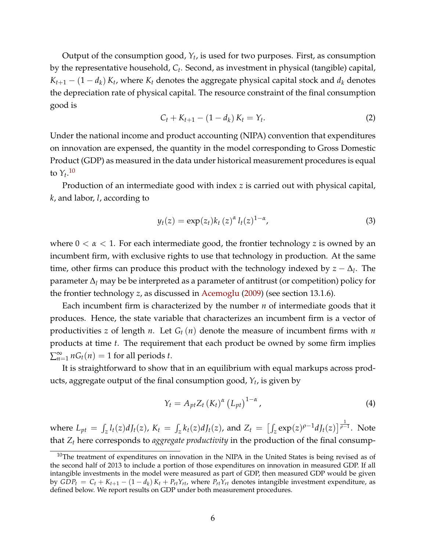Output of the consumption good, *Y<sup>t</sup>* , is used for two purposes. First, as consumption by the representative household, *C<sup>t</sup>* . Second, as investment in physical (tangible) capital,  $K_{t+1} - (1 - d_k) K_t$ , where  $K_t$  denotes the aggregate physical capital stock and  $d_k$  denotes the depreciation rate of physical capital. The resource constraint of the final consumption good is

<span id="page-5-2"></span>
$$
C_t + K_{t+1} - (1 - d_k) K_t = Y_t.
$$
 (2)

Under the national income and product accounting (NIPA) convention that expenditures on innovation are expensed, the quantity in the model corresponding to Gross Domestic Product (GDP) as measured in the data under historical measurement procedures is equal to  $Y_t$ <sup>[10](#page-5-0)</sup>

Production of an intermediate good with index *z* is carried out with physical capital, *k*, and labor, *l*, according to

<span id="page-5-3"></span>
$$
y_t(z) = \exp(z_t)k_t(z)^{\alpha}l_t(z)^{1-\alpha}, \qquad (3)
$$

where  $0 < \alpha < 1$ . For each intermediate good, the frontier technology *z* is owned by an incumbent firm, with exclusive rights to use that technology in production. At the same time, other firms can produce this product with the technology indexed by  $z - \Delta_l$ . The parameter ∆*<sup>l</sup>* may be be interpreted as a parameter of antitrust (or competition) policy for the frontier technology *z*, as discussed in [Acemoglu](#page-40-7) [\(2009\)](#page-40-7) (see section 13.1.6).

Each incumbent firm is characterized by the number *n* of intermediate goods that it produces. Hence, the state variable that characterizes an incumbent firm is a vector of productivities *z* of length *n*. Let  $G_t(n)$  denote the measure of incumbent firms with *n* products at time *t*. The requirement that each product be owned by some firm implies  $\sum_{n=1}^{\infty} nG_t(n) = 1$  for all periods *t*.

It is straightforward to show that in an equilibrium with equal markups across products, aggregate output of the final consumption good, *Y<sup>t</sup>* , is given by

<span id="page-5-1"></span>
$$
Y_t = A_{pt} Z_t \left( K_t \right)^{\alpha} \left( L_{pt} \right)^{1-\alpha}, \tag{4}
$$

where  $L_{pt} = \int_{z} l_t(z) dJ_t(z)$ ,  $K_t = \int_{z} k_t(z) dJ_t(z)$ , and  $Z_t = \left[ \int_{z} \exp(z) \rho^{-1} dJ_t(z) \right]^{\frac{1}{\rho-1}}$ . Note that *Z<sup>t</sup>* here corresponds to *aggregate productivity* in the production of the final consump-

<span id="page-5-0"></span> $10$ The treatment of expenditures on innovation in the NIPA in the United States is being revised as of the second half of 2013 to include a portion of those expenditures on innovation in measured GDP. If all intangible investments in the model were measured as part of GDP, then measured GDP would be given by  $GDP_t = C_t + K_{t+1} - (1 - d_k)K_t + P_{rt}Y_{rt}$ , where  $P_{rt}Y_{rt}$  denotes intangible investment expenditure, as defined below. We report results on GDP under both measurement procedures.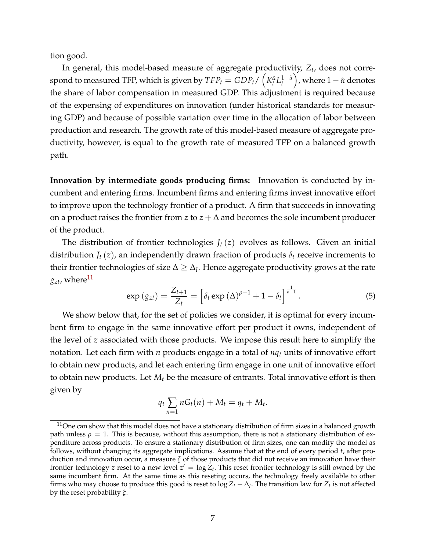tion good.

In general, this model-based measure of aggregate productivity, *Z<sup>t</sup>* , does not correspond to measured TFP, which is given by  $TFP_t = GDP_t / \left(K_t^{\tilde{\alpha}}L_t^{1-\tilde{\alpha}}\right)$ ), where  $1 - \tilde{\alpha}$  denotes the share of labor compensation in measured GDP. This adjustment is required because of the expensing of expenditures on innovation (under historical standards for measuring GDP) and because of possible variation over time in the allocation of labor between production and research. The growth rate of this model-based measure of aggregate productivity, however, is equal to the growth rate of measured TFP on a balanced growth path.

**Innovation by intermediate goods producing firms:** Innovation is conducted by incumbent and entering firms. Incumbent firms and entering firms invest innovative effort to improve upon the technology frontier of a product. A firm that succeeds in innovating on a product raises the frontier from *z* to  $z + \Delta$  and becomes the sole incumbent producer of the product.

The distribution of frontier technologies  $J_t(z)$  evolves as follows. Given an initial distribution  $J_t(z)$ , an independently drawn fraction of products  $\delta_t$  receive increments to their frontier technologies of size  $\Delta \geq \Delta_l$ . Hence aggregate productivity grows at the rate  $g_{zt}$ , where<sup>[11](#page-6-0)</sup>

<span id="page-6-1"></span>
$$
\exp\left(g_{zt}\right) = \frac{Z_{t+1}}{Z_t} = \left[\delta_t \exp\left(\Delta\right)^{\rho-1} + 1 - \delta_t\right]^{\frac{1}{\rho-1}}.
$$
 (5)

We show below that, for the set of policies we consider, it is optimal for every incumbent firm to engage in the same innovative effort per product it owns, independent of the level of *z* associated with those products. We impose this result here to simplify the notation. Let each firm with *n* products engage in a total of *nq<sup>t</sup>* units of innovative effort to obtain new products, and let each entering firm engage in one unit of innovative effort to obtain new products. Let *M<sup>t</sup>* be the measure of entrants. Total innovative effort is then given by

$$
q_t\sum_{n=1} nG_t(n)+M_t=q_t+M_t.
$$

<span id="page-6-0"></span> $11$ One can show that this model does not have a stationary distribution of firm sizes in a balanced growth path unless  $\rho = 1$ . This is because, without this assumption, there is not a stationary distribution of expenditure across products. To ensure a stationary distribution of firm sizes, one can modify the model as follows, without changing its aggregate implications. Assume that at the end of every period *t*, after production and innovation occur, a measure *ξ* of those products that did not receive an innovation have their frontier technology  $z$  reset to a new level  $z' = \log \hat{Z}_t.$  This reset frontier technology is still owned by the same incumbent firm. At the same time as this reseting occurs, the technology freely available to other firms who may choose to produce this good is reset to  $\log Z_t - \Delta_l$ . The transition law for  $Z_t$  is not affected by the reset probability *ξ*.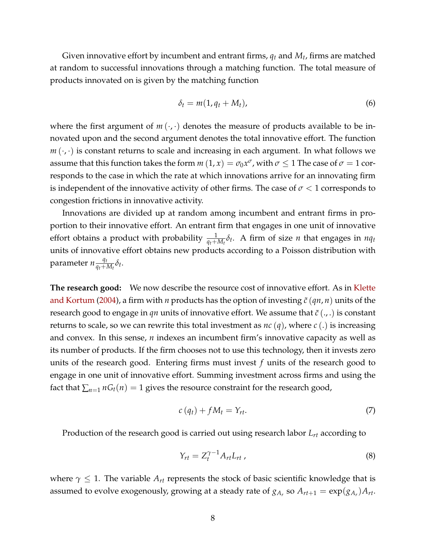Given innovative effort by incumbent and entrant firms,  $q_t$  and  $M_t$ , firms are matched at random to successful innovations through a matching function. The total measure of products innovated on is given by the matching function

<span id="page-7-2"></span>
$$
\delta_t = m(1, q_t + M_t), \tag{6}
$$

where the first argument of  $m(\cdot, \cdot)$  denotes the measure of products available to be innovated upon and the second argument denotes the total innovative effort. The function  $m(\cdot, \cdot)$  is constant returns to scale and increasing in each argument. In what follows we assume that this function takes the form  $m\left(1,x\right)=\sigma_{0}x^{\sigma}$ , with  $\sigma\leq1$  The case of  $\sigma=1$  corresponds to the case in which the rate at which innovations arrive for an innovating firm is independent of the innovative activity of other firms. The case of  $\sigma < 1$  corresponds to congestion frictions in innovative activity.

Innovations are divided up at random among incumbent and entrant firms in proportion to their innovative effort. An entrant firm that engages in one unit of innovative effort obtains a product with probability  $\frac{1}{q_t + M_t} \delta_t$ . A firm of size *n* that engages in  $nq_t$ units of innovative effort obtains new products according to a Poisson distribution with parameter  $n \frac{q_t}{q_t+1}$  $\frac{q_t}{q_t + M_t} \delta_t$ .

**The research good:** We now describe the resource cost of innovative effort. As in [Klette](#page-42-0) [and Kortum](#page-42-0) [\(2004\)](#page-42-0), a firm with *n* products has the option of investing  $\tilde{c}$  ( $qn, n$ ) units of the research good to engage in *qn* units of innovative effort. We assume that  $\tilde{c}$  (...) is constant returns to scale, so we can rewrite this total investment as *nc* (*q*), where *c* (.) is increasing and convex. In this sense, *n* indexes an incumbent firm's innovative capacity as well as its number of products. If the firm chooses not to use this technology, then it invests zero units of the research good. Entering firms must invest *f* units of the research good to engage in one unit of innovative effort. Summing investment across firms and using the fact that  $\sum_{n=1}^{\infty} nG_t(n) = 1$  gives the resource constraint for the research good,

<span id="page-7-0"></span>
$$
c\left(q_{t}\right) + fM_{t} = Y_{rt}.\tag{7}
$$

Production of the research good is carried out using research labor *Lrt* according to

<span id="page-7-1"></span>
$$
Y_{rt} = Z_t^{\gamma - 1} A_{rt} L_{rt} \,, \tag{8}
$$

where  $\gamma \leq 1$ . The variable  $A_{rt}$  represents the stock of basic scientific knowledge that is assumed to evolve exogenously, growing at a steady rate of  $g_{A_r}$  so  $A_{rt+1} = \exp(g_{A_r})A_{rt}.$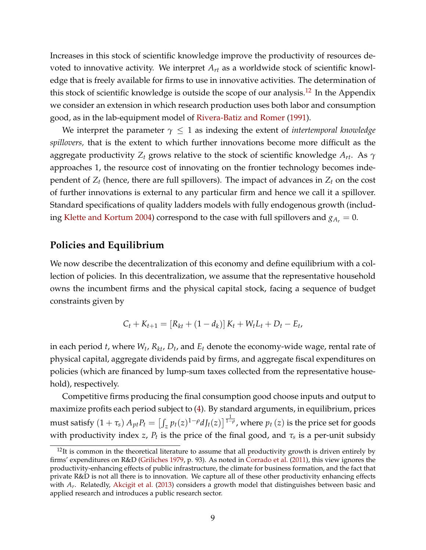Increases in this stock of scientific knowledge improve the productivity of resources devoted to innovative activity. We interpret *Art* as a worldwide stock of scientific knowledge that is freely available for firms to use in innovative activities. The determination of this stock of scientific knowledge is outside the scope of our analysis.<sup>[12](#page-8-0)</sup> In the Appendix we consider an extension in which research production uses both labor and consumption good, as in the lab-equipment model of [Rivera-Batiz and Romer](#page-42-6) [\(1991\)](#page-42-6).

We interpret the parameter  $\gamma \leq 1$  as indexing the extent of *intertemporal knowledge spillovers,* that is the extent to which further innovations become more difficult as the aggregate productivity *Z<sup>t</sup>* grows relative to the stock of scientific knowledge *Art*. As *γ* approaches 1, the resource cost of innovating on the frontier technology becomes independent of  $Z_t$  (hence, there are full spillovers). The impact of advances in  $Z_t$  on the cost of further innovations is external to any particular firm and hence we call it a spillover. Standard specifications of quality ladders models with fully endogenous growth (includ-ing [Klette and Kortum](#page-42-0) [2004\)](#page-42-0) correspond to the case with full spillovers and  $g_{A_r} = 0$ .

#### **Policies and Equilibrium**

We now describe the decentralization of this economy and define equilibrium with a collection of policies. In this decentralization, we assume that the representative household owns the incumbent firms and the physical capital stock, facing a sequence of budget constraints given by

$$
C_t + K_{t+1} = [R_{kt} + (1 - d_k)] K_t + W_t L_t + D_t - E_t,
$$

in each period *t*, where *W<sup>t</sup>* , *Rkt*, *D<sup>t</sup>* , and *E<sup>t</sup>* denote the economy-wide wage, rental rate of physical capital, aggregate dividends paid by firms, and aggregate fiscal expenditures on policies (which are financed by lump-sum taxes collected from the representative household), respectively.

Competitive firms producing the final consumption good choose inputs and output to maximize profits each period subject to [\(4\)](#page-5-1). By standard arguments, in equilibrium, prices must satisfy  $(1+\tau_s)\,A_{pt}P_t=\left[\int_z p_t(z)^{1-\rho}dJ_t(z)\right]^{\frac{1}{1-\rho}}$ , where  $p_t\left(z\right)$  is the price set for goods with productivity index *z,*  $P_t$  is the price of the final good, and  $\tau_s$  is a per-unit subsidy

<span id="page-8-0"></span> $12$ It is common in the theoretical literature to assume that all productivity growth is driven entirely by firms' expenditures on R&D [\(Griliches](#page-41-10) [1979,](#page-41-10) p. 93). As noted in [Corrado et al.](#page-41-11) [\(2011\)](#page-41-11), this view ignores the productivity-enhancing effects of public infrastructure, the climate for business formation, and the fact that private R&D is not all there is to innovation. We capture all of these other productivity enhancing effects with *A<sup>r</sup>* . Relatedly, [Akcigit et al.](#page-40-8) [\(2013\)](#page-40-8) considers a growth model that distinguishes between basic and applied research and introduces a public research sector.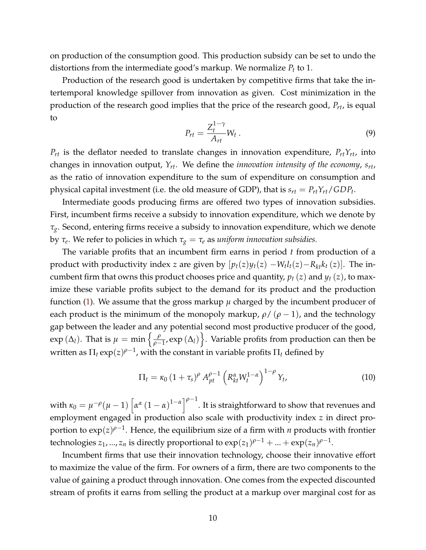on production of the consumption good. This production subsidy can be set to undo the distortions from the intermediate good's markup. We normalize *P<sup>t</sup>* to 1.

Production of the research good is undertaken by competitive firms that take the intertemporal knowledge spillover from innovation as given. Cost minimization in the production of the research good implies that the price of the research good, *Prt*, is equal to

$$
P_{rt} = \frac{Z_t^{1-\gamma}}{A_{rt}} W_t \ . \tag{9}
$$

 $P_{rt}$  is the deflator needed to translate changes in innovation expenditure,  $P_{rt}Y_{rt}$ , into changes in innovation output, *Yrt*. We define the *innovation intensity of the economy*, *srt*, as the ratio of innovation expenditure to the sum of expenditure on consumption and physical capital investment (i.e. the old measure of GDP), that is  $s_{rt} = P_{rt}Y_{rt}/GDP_t$ .

Intermediate goods producing firms are offered two types of innovation subsidies. First, incumbent firms receive a subsidy to innovation expenditure, which we denote by *τg*. Second, entering firms receive a subsidy to innovation expenditure, which we denote by *τ<sub>e</sub>*. We refer to policies in which  $τ_g = τ_e$  as *uniform innovation subsidies*.

The variable profits that an incumbent firm earns in period *t* from production of a product with productivity index *z* are given by  $[p_t(z)y_t(z) - W_t l_t(z) - R_{kt} k_t(z)]$ . The incumbent firm that owns this product chooses price and quantity,  $p_t(z)$  and  $y_t(z)$ , to maximize these variable profits subject to the demand for its product and the production function  $(1)$ . We assume that the gross markup  $\mu$  charged by the incumbent producer of each product is the minimum of the monopoly markup,  $\rho / (\rho - 1)$ , and the technology gap between the leader and any potential second most productive producer of the good,  $\exp{(\Delta_l)}$ . That is  $\mu = \min \left\{ \frac{\rho}{\rho - \rho_l} \right\}$  $\left\{\frac{\rho}{\rho-1}, \exp\left(\Delta_l\right)\right\}$ . Variable profits from production can then be written as  $\Pi_t \exp(z)^{\rho-1}$ , with the constant in variable profits  $\Pi_t$  defined by

<span id="page-9-0"></span>
$$
\Pi_t = \kappa_0 \left( 1 + \tau_s \right)^{\rho} A_{pt}^{\rho - 1} \left( R_{kt}^{\alpha} W_t^{1 - \alpha} \right)^{1 - \rho} Y_t,
$$
\n(10)

with  $\kappa_0 = \mu^{-\rho}(\mu-1)\left[\alpha^{\alpha}\left(1-\alpha\right)^{1-\alpha}\right]^{\rho-1}$ . It is straightforward to show that revenues and employment engaged in production also scale with productivity index *z* in direct proportion to exp(*z*) *ρ*−1 . Hence, the equilibrium size of a firm with *n* products with frontier technologies  $z_1, ..., z_n$  is directly proportional to  $exp(z_1)^{\rho-1} + ... + exp(z_n)^{\rho-1}$ .

Incumbent firms that use their innovation technology, choose their innovative effort to maximize the value of the firm. For owners of a firm, there are two components to the value of gaining a product through innovation. One comes from the expected discounted stream of profits it earns from selling the product at a markup over marginal cost for as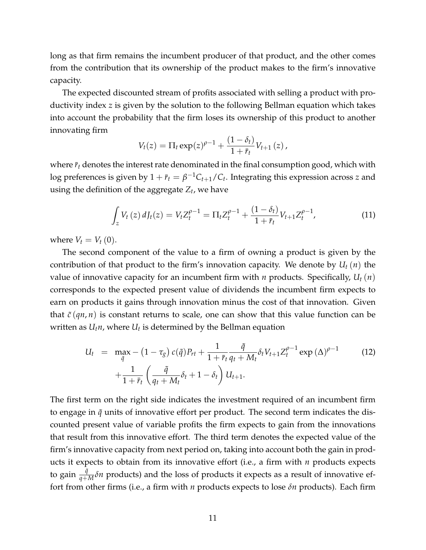long as that firm remains the incumbent producer of that product, and the other comes from the contribution that its ownership of the product makes to the firm's innovative capacity.

The expected discounted stream of profits associated with selling a product with productivity index *z* is given by the solution to the following Bellman equation which takes into account the probability that the firm loses its ownership of this product to another innovating firm

$$
V_t(z) = \Pi_t \exp(z)^{\rho - 1} + \frac{(1 - \delta_t)}{1 + \bar{r}_t} V_{t+1}(z),
$$

where  $\bar{r}_t$  denotes the interest rate denominated in the final consumption good, which with  $\log$  preferences is given by  $1+\bar{r}_t=\beta^{-1}C_{t+1}/C_t.$  Integrating this expression across  $z$  and using the definition of the aggregate *Z<sup>t</sup>* , we have

$$
\int_{z} V_t(z) \, dJ_t(z) = V_t Z_t^{\rho-1} = \Pi_t Z_t^{\rho-1} + \frac{(1-\delta_t)}{1+\bar{r}_t} V_{t+1} Z_t^{\rho-1},\tag{11}
$$

where  $V_t = V_t(0)$ .

The second component of the value to a firm of owning a product is given by the contribution of that product to the firm's innovation capacity. We denote by *U<sup>t</sup>* (*n*) the value of innovative capacity for an incumbent firm with *n* products. Specifically, *U<sup>t</sup>* (*n*) corresponds to the expected present value of dividends the incumbent firm expects to earn on products it gains through innovation minus the cost of that innovation. Given that  $\tilde{c}(qn, n)$  is constant returns to scale, one can show that this value function can be written as *Utn*, where *U<sup>t</sup>* is determined by the Bellman equation

<span id="page-10-0"></span>
$$
U_{t} = \max_{\tilde{q}} - (1 - \tau_{g}) c(\tilde{q}) P_{rt} + \frac{1}{1 + \bar{r}_{t}} \frac{\tilde{q}}{q_{t} + M_{t}} \delta_{t} V_{t+1} Z_{t}^{\rho - 1} \exp(\Delta)^{\rho - 1} + \frac{1}{1 + \bar{r}_{t}} \left( \frac{\tilde{q}}{q_{t} + M_{t}} \delta_{t} + 1 - \delta_{t} \right) U_{t+1}.
$$
 (12)

The first term on the right side indicates the investment required of an incumbent firm to engage in  $\tilde{q}$  units of innovative effort per product. The second term indicates the discounted present value of variable profits the firm expects to gain from the innovations that result from this innovative effort. The third term denotes the expected value of the firm's innovative capacity from next period on, taking into account both the gain in products it expects to obtain from its innovative effort (i.e., a firm with *n* products expects to gain  $\frac{\tilde{q}}{q+M}\delta n$  products) and the loss of products it expects as a result of innovative effort from other firms (i.e., a firm with *n* products expects to lose *δn* products). Each firm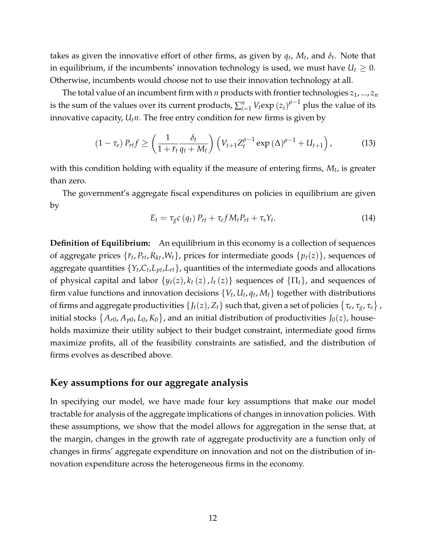takes as given the innovative effort of other firms, as given by  $q_t$ ,  $M_t$ , and  $\delta_t$ . Note that in equilibrium, if the incumbents' innovation technology is used, we must have  $U_t \geq 0$ . Otherwise, incumbents would choose not to use their innovation technology at all.

The total value of an incumbent firm with  $n$  products with frontier technologies  $z_1$ , ...,  $z_n$ is the sum of the values over its current products,  $\sum_{i=1}^{n}V_t\text{exp}\left(z_i\right)^{\rho-1}$  plus the value of its innovative capacity,  $U_t n$ . The free entry condition for new firms is given by

<span id="page-11-0"></span>
$$
(1-\tau_e) P_{rt} f \ge \left(\frac{1}{1+\bar{r}_t} \frac{\delta_t}{q_t+M_t}\right) \left(V_{t+1} Z_t^{\rho-1} \exp\left(\Delta\right)^{\rho-1} + U_{t+1}\right),\tag{13}
$$

with this condition holding with equality if the measure of entering firms, *M<sup>t</sup>* , is greater than zero.

The government's aggregate fiscal expenditures on policies in equilibrium are given by

<span id="page-11-1"></span>
$$
E_t = \tau_g c \left( q_t \right) P_{rt} + \tau_e f M_t P_{rt} + \tau_s Y_t. \tag{14}
$$

**Definition of Equilibrium:** An equilibrium in this economy is a collection of sequences of aggregate prices  $\{\bar{r}_t, P_{rt}, R_{kt}, W_t\}$ , prices for intermediate goods  $\{p_t(z)\}$ , sequences of aggregate quantities  $\{Y_t, C_t, L_{pt}, L_{rt}\}$ , quantities of the intermediate goods and allocations of physical capital and labor  $\{y_t(z), k_t(z), l_t(z)\}$  sequences of  $\{\Pi_t\}$ , and sequences of firm value functions and innovation decisions  $\{V_t, U_t, q_t, M_t\}$  together with distributions of firms and aggregate productivities  $\{J_t(z), Z_t\}$  such that, given a set of policies  $\{\tau_e, \tau_g, \tau_s\}$  , initial stocks  $\{A_{r0}, A_{p0}, L_0, K_0\}$ , and an initial distribution of productivities  $J_0(z)$ , households maximize their utility subject to their budget constraint, intermediate good firms maximize profits, all of the feasibility constraints are satisfied, and the distribution of firms evolves as described above.

#### **Key assumptions for our aggregate analysis**

In specifying our model, we have made four key assumptions that make our model tractable for analysis of the aggregate implications of changes in innovation policies. With these assumptions, we show that the model allows for aggregation in the sense that, at the margin, changes in the growth rate of aggregate productivity are a function only of changes in firms' aggregate expenditure on innovation and not on the distribution of innovation expenditure across the heterogeneous firms in the economy.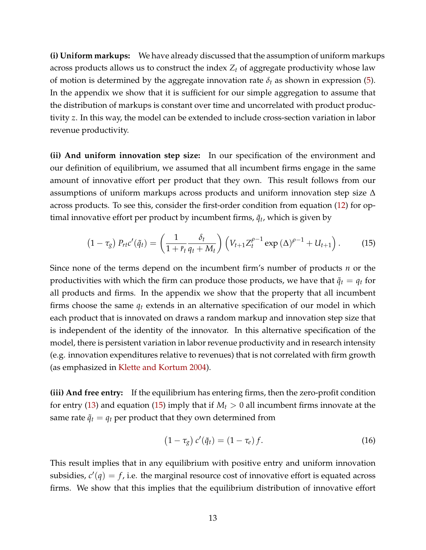**(i) Uniform markups:** We have already discussed that the assumption of uniform markups across products allows us to construct the index *Z<sup>t</sup>* of aggregate productivity whose law of motion is determined by the aggregate innovation rate  $\delta_t$  as shown in expression [\(5\)](#page-6-1). In the appendix we show that it is sufficient for our simple aggregation to assume that the distribution of markups is constant over time and uncorrelated with product productivity *z*. In this way, the model can be extended to include cross-section variation in labor revenue productivity.

**(ii) And uniform innovation step size:** In our specification of the environment and our definition of equilibrium, we assumed that all incumbent firms engage in the same amount of innovative effort per product that they own. This result follows from our assumptions of uniform markups across products and uniform innovation step size ∆ across products. To see this, consider the first-order condition from equation [\(12\)](#page-10-0) for optimal innovative effort per product by incumbent firms*,*  $\tilde{q}_t$ *,* which is given by

<span id="page-12-0"></span>
$$
(1-\tau_g) P_{rt}c'(\tilde{q}_t) = \left(\frac{1}{1+\bar{r}_t}\frac{\delta_t}{q_t+M_t}\right) \left(V_{t+1}Z_t^{\rho-1} \exp\left(\Delta\right)^{\rho-1} + U_{t+1}\right). \tag{15}
$$

Since none of the terms depend on the incumbent firm's number of products *n* or the productivities with which the firm can produce those products, we have that  $\tilde{q}_t = q_t$  for all products and firms. In the appendix we show that the property that all incumbent firms choose the same  $q_t$  extends in an alternative specification of our model in which each product that is innovated on draws a random markup and innovation step size that is independent of the identity of the innovator. In this alternative specification of the model, there is persistent variation in labor revenue productivity and in research intensity (e.g. innovation expenditures relative to revenues) that is not correlated with firm growth (as emphasized in [Klette and Kortum](#page-42-0) [2004\)](#page-42-0).

**(iii) And free entry:** If the equilibrium has entering firms, then the zero-profit condition for entry [\(13\)](#page-11-0) and equation [\(15\)](#page-12-0) imply that if  $M_t > 0$  all incumbent firms innovate at the same rate  $\tilde{q}_t = q_t$  per product that they own determined from

<span id="page-12-1"></span>
$$
(1 - \tau_g) c'(\tilde{q}_t) = (1 - \tau_e) f.
$$
 (16)

This result implies that in any equilibrium with positive entry and uniform innovation subsidies,  $c'(q) = f$ , i.e. the marginal resource cost of innovative effort is equated across firms. We show that this implies that the equilibrium distribution of innovative effort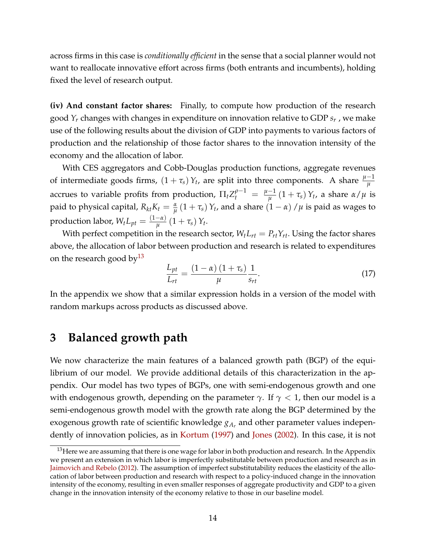across firms in this case is *conditionally efficient* in the sense that a social planner would not want to reallocate innovative effort across firms (both entrants and incumbents), holding fixed the level of research output.

**(iv) And constant factor shares:** Finally, to compute how production of the research good *Y<sup>r</sup>* changes with changes in expenditure on innovation relative to GDP *s<sup>r</sup>* , we make use of the following results about the division of GDP into payments to various factors of production and the relationship of those factor shares to the innovation intensity of the economy and the allocation of labor.

With CES aggregators and Cobb-Douglas production functions, aggregate revenues of intermediate goods firms,  $(1 + \tau_s) Y_t$ , are split into three components. A share  $\frac{\mu - 1}{\mu}$ accrues to variable profits from production,  $\Pi_t Z_t^{\rho-1} \; = \; \frac{\mu-1}{\mu}$  $\frac{-1}{\mu}(1+\tau_s)Y_t$ , a share *α*/ $\mu$  is paid to physical capital,  $R_{kt}K_t = \frac{\alpha}{\mu}\left(1+\tau_s\right)Y_t$ , and a share  $\left(1-\alpha\right)/\mu$  is paid as wages to production labor,  $W_tL_{pt} = \frac{(1-\alpha)}{u}$  $\frac{-\alpha}{\mu} (1 + \tau_s) Y_t$ .

With perfect competition in the research sector,  $W_t L_{rt} = P_{rt} Y_{rt}$ . Using the factor shares above, the allocation of labor between production and research is related to expenditures on the research good by  $13$ 

<span id="page-13-2"></span>
$$
\frac{L_{pt}}{L_{rt}} = \frac{(1 - \alpha)(1 + \tau_s)}{\mu} \frac{1}{s_{rt}}.
$$
\n(17)

In the appendix we show that a similar expression holds in a version of the model with random markups across products as discussed above.

#### <span id="page-13-0"></span>**3 Balanced growth path**

We now characterize the main features of a balanced growth path (BGP) of the equilibrium of our model. We provide additional details of this characterization in the appendix. Our model has two types of BGPs, one with semi-endogenous growth and one with endogenous growth, depending on the parameter  $\gamma$ . If  $\gamma$  < 1, then our model is a semi-endogenous growth model with the growth rate along the BGP determined by the exogenous growth rate of scientific knowledge *gA<sup>r</sup>* and other parameter values independently of innovation policies, as in [Kortum](#page-42-7) [\(1997\)](#page-42-7) and [Jones](#page-41-8) [\(2002\)](#page-41-8). In this case, it is not

<span id="page-13-1"></span> $13$  Here we are assuming that there is one wage for labor in both production and research. In the Appendix we present an extension in which labor is imperfectly substitutable between production and research as in [Jaimovich and Rebelo](#page-41-12) [\(2012\)](#page-41-12). The assumption of imperfect substitutability reduces the elasticity of the allocation of labor between production and research with respect to a policy-induced change in the innovation intensity of the economy, resulting in even smaller responses of aggregate productivity and GDP to a given change in the innovation intensity of the economy relative to those in our baseline model.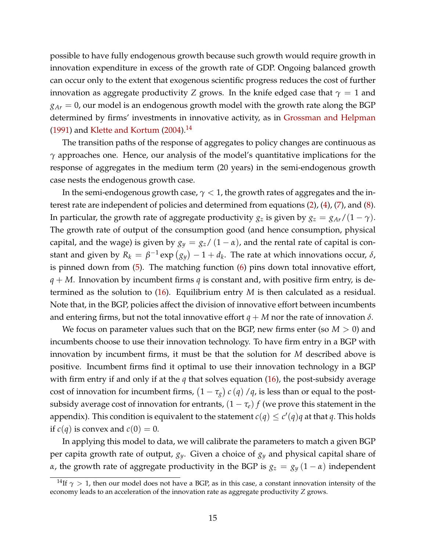possible to have fully endogenous growth because such growth would require growth in innovation expenditure in excess of the growth rate of GDP. Ongoing balanced growth can occur only to the extent that exogenous scientific progress reduces the cost of further innovation as aggregate productivity *Z* grows. In the knife edged case that  $\gamma = 1$  and  $g_{Ar} = 0$ , our model is an endogenous growth model with the growth rate along the BGP determined by firms' investments in innovative activity, as in [Grossman and Helpman](#page-41-7) [\(1991\)](#page-41-7) and [Klette and Kortum](#page-42-0)  $(2004).$  $(2004).$ <sup>[14](#page-14-0)</sup>

The transition paths of the response of aggregates to policy changes are continuous as *γ* approaches one. Hence, our analysis of the model's quantitative implications for the response of aggregates in the medium term (20 years) in the semi-endogenous growth case nests the endogenous growth case.

In the semi-endogenous growth case,  $\gamma$  < 1, the growth rates of aggregates and the interest rate are independent of policies and determined from equations [\(2\)](#page-5-2), [\(4\)](#page-5-1), [\(7\)](#page-7-0), and [\(8\)](#page-7-1). In particular, the growth rate of aggregate productivity  $g_z$  is given by  $g_z = g_{Ar}/(1 - \gamma)$ . The growth rate of output of the consumption good (and hence consumption, physical capital, and the wage) is given by  $g_y = g_z/(1 - \alpha)$ , and the rental rate of capital is constant and given by  $R_k = \beta^{-1} \exp(g_y) - 1 + d_k$ . The rate at which innovations occur,  $\delta$ , is pinned down from [\(5\)](#page-6-1). The matching function [\(6\)](#page-7-2) pins down total innovative effort, *q* + *M*. Innovation by incumbent firms *q* is constant and, with positive firm entry, is determined as the solution to [\(16\)](#page-12-1). Equilibrium entry *M* is then calculated as a residual. Note that, in the BGP, policies affect the division of innovative effort between incumbents and entering firms, but not the total innovative effort  $q + M$  nor the rate of innovation  $\delta$ .

We focus on parameter values such that on the BGP, new firms enter (so *M* > 0) and incumbents choose to use their innovation technology. To have firm entry in a BGP with innovation by incumbent firms, it must be that the solution for *M* described above is positive. Incumbent firms find it optimal to use their innovation technology in a BGP with firm entry if and only if at the *q* that solves equation [\(16\)](#page-12-1), the post-subsidy average cost of innovation for incumbent firms,  $(1 - \tau_g) c(q) / q$ , is less than or equal to the postsubsidy average cost of innovation for entrants,  $(1 - \tau_e) f$  (we prove this statement in the appendix). This condition is equivalent to the statement  $c(q) \leq c'(q)q$  at that q. This holds if  $c(q)$  is convex and  $c(0) = 0$ .

In applying this model to data, we will calibrate the parameters to match a given BGP per capita growth rate of output, *gy*. Given a choice of *g<sup>y</sup>* and physical capital share of *α*, the growth rate of aggregate productivity in the BGP is  $g_z = g_y (1 - \alpha)$  independent

<span id="page-14-0"></span><sup>&</sup>lt;sup>14</sup>If  $\gamma > 1$ , then our model does not have a BGP, as in this case, a constant innovation intensity of the economy leads to an acceleration of the innovation rate as aggregate productivity *Z* grows.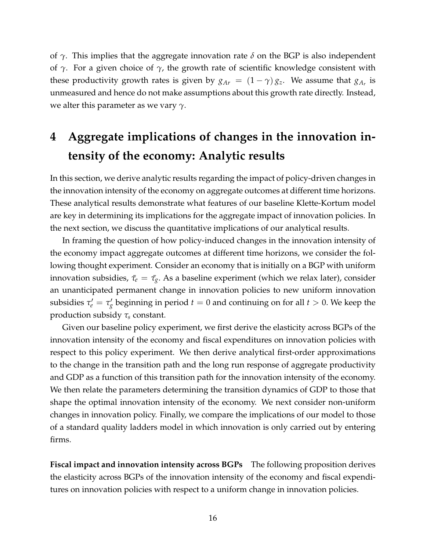of *γ*. This implies that the aggregate innovation rate *δ* on the BGP is also independent of *γ*. For a given choice of *γ*, the growth rate of scientific knowledge consistent with these productivity growth rates is given by  $g_{Ar} = (1 - \gamma) g_z$ . We assume that  $g_{A_r}$  is unmeasured and hence do not make assumptions about this growth rate directly. Instead, we alter this parameter as we vary *γ*.

# <span id="page-15-0"></span>**4 Aggregate implications of changes in the innovation intensity of the economy: Analytic results**

In this section, we derive analytic results regarding the impact of policy-driven changes in the innovation intensity of the economy on aggregate outcomes at different time horizons. These analytical results demonstrate what features of our baseline Klette-Kortum model are key in determining its implications for the aggregate impact of innovation policies. In the next section, we discuss the quantitative implications of our analytical results.

In framing the question of how policy-induced changes in the innovation intensity of the economy impact aggregate outcomes at different time horizons, we consider the following thought experiment. Consider an economy that is initially on a BGP with uniform innovation subsidies,  $\bar{\tau}_e = \bar{\tau}_g$ . As a baseline experiment (which we relax later), consider an unanticipated permanent change in innovation policies to new uniform innovation subsidies  $\tau'_e = \tau'_g$  beginning in period  $t = 0$  and continuing on for all  $t > 0$ . We keep the production subsidy *τ<sup>s</sup>* constant.

Given our baseline policy experiment, we first derive the elasticity across BGPs of the innovation intensity of the economy and fiscal expenditures on innovation policies with respect to this policy experiment. We then derive analytical first-order approximations to the change in the transition path and the long run response of aggregate productivity and GDP as a function of this transition path for the innovation intensity of the economy. We then relate the parameters determining the transition dynamics of GDP to those that shape the optimal innovation intensity of the economy. We next consider non-uniform changes in innovation policy. Finally, we compare the implications of our model to those of a standard quality ladders model in which innovation is only carried out by entering firms.

**Fiscal impact and innovation intensity across BGPs** The following proposition derives the elasticity across BGPs of the innovation intensity of the economy and fiscal expenditures on innovation policies with respect to a uniform change in innovation policies.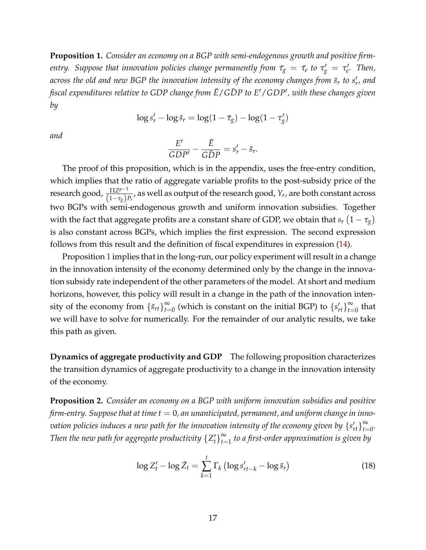<span id="page-16-0"></span>**Proposition 1.** *Consider an economy on a BGP with semi-endogenous growth and positive firm* $f$  *entry. Suppose that innovation policies change permanently from*  $\bar{\tau}_{g} = \bar{\tau}_{e}$  *to*  $\tau_{g}' = \tau_{e}'$ *. Then,* across the old and new BGP the innovation intensity of the economy changes from  $\bar{s}_r$  to  $s_r'$ , and *fiscal expenditures relative to GDP change from E*¯/*GDP to E* ¯ <sup>0</sup>/*GDP*<sup>0</sup> *, with these changes given by*

$$
\log s'_r - \log \bar{s}_r = \log(1-\bar{\tau}_g) - \log(1-\tau'_g)
$$

*and*

$$
\frac{E'}{GDP'} - \frac{\bar{E}}{G\bar{D}P} = s'_r - \bar{s}_r.
$$

The proof of this proposition, which is in the appendix, uses the free-entry condition, which implies that the ratio of aggregate variable profits to the post-subsidy price of the *research good,*  $\frac{\Pi Z^{ρ-1}}{(1_σ)}$  $\frac{11Z^{P}}{(1-\tau_{g})P_{r}}$ , as well as output of the research good,  $Y_{r}$ , are both constant across two BGPs with semi-endogenous growth and uniform innovation subsidies. Together with the fact that aggregate profits are a constant share of GDP, we obtain that  $s_r\left(1-\tau_g\right)$ is also constant across BGPs, which implies the first expression. The second expression follows from this result and the definition of fiscal expenditures in expression [\(14\)](#page-11-1).

Proposition [1](#page-16-0) implies that in the long-run, our policy experiment will result in a change in the innovation intensity of the economy determined only by the change in the innovation subsidy rate independent of the other parameters of the model. At short and medium horizons, however, this policy will result in a change in the path of the innovation intensity of the economy from  $\{\bar{s}_{rt}\}_{t=1}^{\infty}$  $\sum_{t=0}^{\infty}$  (which is constant on the initial BGP) to  $\left\{ s'_{rt} \right\}_{t=0}^{\infty}$  $\sum_{t=0}^{\infty}$  that we will have to solve for numerically. For the remainder of our analytic results, we take this path as given.

**Dynamics of aggregate productivity and GDP** The following proposition characterizes the transition dynamics of aggregate productivity to a change in the innovation intensity of the economy.

<span id="page-16-1"></span>**Proposition 2.** *Consider an economy on a BGP with uniform innovation subsidies and positive firm-entry. Suppose that at time t* = 0*, an unanticipated, permanent, and uniform change in inno*vation policies induces a new path for the innovation intensity of the economy given by  $\left\{ s'_{rt}\right\} _{t=0}^{\infty}$  $\sum_{t=0}^{\infty}$ Then the new path for aggregate productivity  $\{Z_t^{\prime}\}$  $\left\{ t\right\} _{t=0}^{\infty}$ *t*=1 *to a first-order approximation is given by*

<span id="page-16-2"></span>
$$
\log Z'_t - \log \bar{Z}_t = \sum_{k=1}^t \Gamma_k \left( \log s'_{rt-k} - \log \bar{s}_r \right) \tag{18}
$$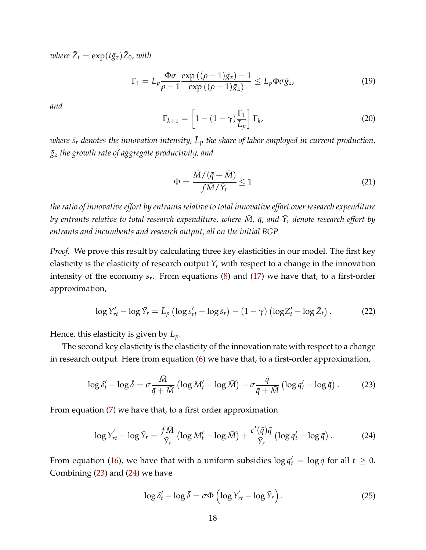$where \ \bar{Z}_t = \exp(t\bar{g}_z)\bar{Z}_0$ *, with* 

<span id="page-17-5"></span>
$$
\Gamma_1 = \bar{L}_p \frac{\Phi \sigma}{\rho - 1} \frac{\exp\left((\rho - 1)\bar{g}_z\right) - 1}{\exp\left((\rho - 1)\bar{g}_z\right)} \le \bar{L}_p \Phi \sigma \bar{g}_z,\tag{19}
$$

*and*

$$
\Gamma_{k+1} = \left[1 - (1 - \gamma)\frac{\Gamma_1}{\bar{L}_p}\right] \Gamma_k,\tag{20}
$$

 $\bar{z}_r$  *denotes the innovation intensity,*  $\bar{L}_p$  *the share of labor employed in current production, g*¯*<sup>z</sup> the growth rate of aggregate productivity, and*

<span id="page-17-4"></span>
$$
\Phi = \frac{\bar{M}/(\bar{q} + \bar{M})}{f\bar{M}/\bar{Y}_r} \le 1
$$
\n(21)

*the ratio of innovative effort by entrants relative to total innovative effort over research expenditure*  $b$ y entrants relative to total research expenditure, where  $\bar{M}$ ,  $\bar{q}$ , and  $\bar{Y}_r$  denote research effort by *entrants and incumbents and research output, all on the initial BGP.*

*Proof.* We prove this result by calculating three key elasticities in our model. The first key elasticity is the elasticity of research output  $Y_r$  with respect to a change in the innovation intensity of the economy *s<sup>r</sup>* . From equations [\(8\)](#page-7-1) and [\(17\)](#page-13-2) we have that, to a first-order approximation,

<span id="page-17-2"></span>
$$
\log Y'_{rt} - \log \bar{Y}_r = \bar{L}_p \left( \log s'_{rt} - \log \bar{s}_r \right) - (1 - \gamma) \left( \log Z'_t - \log \bar{Z}_t \right). \tag{22}
$$

Hence, this elasticity is given by  $\bar{L}_p$ .

The second key elasticity is the elasticity of the innovation rate with respect to a change in research output. Here from equation [\(6\)](#page-7-2) we have that, to a first-order approximation,

<span id="page-17-0"></span>
$$
\log \delta'_t - \log \bar{\delta} = \sigma \frac{\bar{M}}{\bar{q} + \bar{M}} \left( \log M'_t - \log \bar{M} \right) + \sigma \frac{\bar{q}}{\bar{q} + \bar{M}} \left( \log q'_t - \log \bar{q} \right). \tag{23}
$$

From equation [\(7\)](#page-7-0) we have that, to a first order approximation

<span id="page-17-1"></span>
$$
\log Y'_{rt} - \log \bar{Y}_r = \frac{f\bar{M}}{\bar{Y}_r} \left( \log M'_t - \log \bar{M} \right) + \frac{c'(\bar{q})\bar{q}}{\bar{Y}_r} \left( \log q'_t - \log \bar{q} \right). \tag{24}
$$

From equation [\(16\)](#page-12-1), we have that with a uniform subsidies  $\log q_t' = \log \bar{q}$  for all  $t \geq 0$ . Combining [\(23\)](#page-17-0) and [\(24\)](#page-17-1) we have

<span id="page-17-3"></span>
$$
\log \delta'_t - \log \bar{\delta} = \sigma \Phi \left( \log Y'_{rt} - \log \bar{Y}_r \right). \tag{25}
$$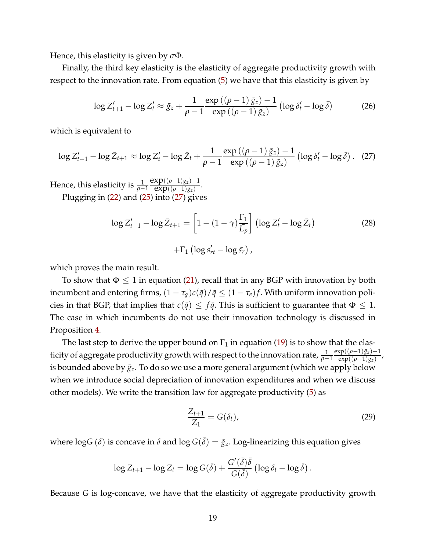Hence, this elasticity is given by *σ*Φ.

Finally, the third key elasticity is the elasticity of aggregate productivity growth with respect to the innovation rate. From equation [\(5\)](#page-6-1) we have that this elasticity is given by

$$
\log Z'_{t+1} - \log Z'_t \approx \bar{g}_z + \frac{1}{\rho - 1} \frac{\exp\left((\rho - 1)\,\bar{g}_z\right) - 1}{\exp\left((\rho - 1)\,\bar{g}_z\right)} \left(\log \delta'_t - \log \bar{\delta}\right) \tag{26}
$$

which is equivalent to

<span id="page-18-0"></span>
$$
\log Z'_{t+1} - \log \bar{Z}_{t+1} \approx \log Z'_t - \log \bar{Z}_t + \frac{1}{\rho - 1} \frac{\exp ((\rho - 1)\bar{g}_z) - 1}{\exp ((\rho - 1)\bar{g}_z)} \left( \log \delta'_t - \log \bar{\delta} \right). \tag{27}
$$

Hence, this elasticity is  $\frac{1}{ρ-1}$  $exp((\rho-1)\bar{g}_z)-1$  $\frac{\exp((\rho-1)\bar{g}_z)}{\exp((\rho-1)\bar{g}_z)}$ Plugging in [\(22\)](#page-17-2) and [\(25\)](#page-17-3) into [\(27\)](#page-18-0) gives

<span id="page-18-1"></span>
$$
\log Z'_{t+1} - \log \bar{Z}_{t+1} = \left[1 - (1 - \gamma) \frac{\Gamma_1}{\overline{L}_p}\right] \left(\log Z'_t - \log \bar{Z}_t\right)
$$
  
 
$$
+ \Gamma_1 \left(\log s'_{rt} - \log \bar{s}_r\right), \qquad (28)
$$

which proves the main result.

To show that  $\Phi \leq 1$  in equation [\(21\)](#page-17-4), recall that in any BGP with innovation by both incumbent and entering firms,  $(1 - \tau_g)c(\bar{q})/\bar{q} \leq (1 - \tau_e)f$ . With uniform innovation policies in that BGP, that implies that  $c(\bar{q}) \leq f\bar{q}$ . This is sufficient to guarantee that  $\Phi \leq 1$ . The case in which incumbents do not use their innovation technology is discussed in Proposition [4.](#page-24-0)

The last step to derive the upper bound on  $\Gamma_1$  in equation [\(19\)](#page-17-5) is to show that the elasticity of aggregate productivity growth with respect to the innovation rate,  $\frac{1}{\rho-1}$  $exp((\rho-1)\bar{g}_z)-1$  $\frac{\exp((\rho-1)gz)^{-1}}{\exp((\rho-1)\bar{g}_z)}$ is bounded above by  $\bar{g}_z$ . To do so we use a more general argument (which we apply below when we introduce social depreciation of innovation expenditures and when we discuss other models). We write the transition law for aggregate productivity [\(5\)](#page-6-1) as

$$
\frac{Z_{t+1}}{Z_1} = G(\delta_t),\tag{29}
$$

where  $\log G(\delta)$  is concave in  $\delta$  and  $\log G(\bar{\delta}) = \bar{g}_z$ . Log-linearizing this equation gives

$$
\log Z_{t+1} - \log Z_t = \log G(\bar{\delta}) + \frac{G'(\bar{\delta})\bar{\delta}}{G(\bar{\delta})} \left(\log \delta_t - \log \bar{\delta}\right).
$$

Because *G* is log-concave, we have that the elasticity of aggregate productivity growth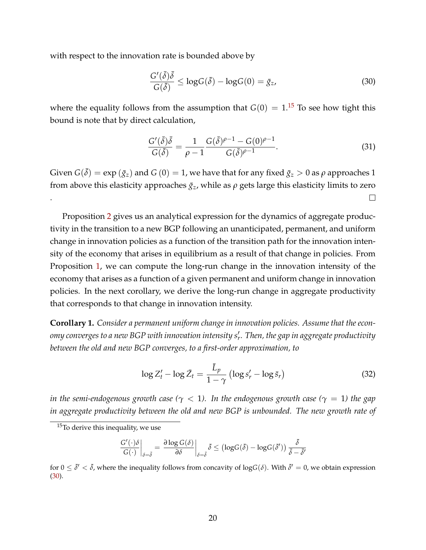with respect to the innovation rate is bounded above by

<span id="page-19-1"></span>
$$
\frac{G'(\bar{\delta})\bar{\delta}}{G(\bar{\delta})} \le \log G(\bar{\delta}) - \log G(0) = \bar{g}_z,\tag{30}
$$

where the equality follows from the assumption that  $G(0) = 1$ .<sup>[15](#page-19-0)</sup> To see how tight this bound is note that by direct calculation,

<span id="page-19-4"></span>
$$
\frac{G'(\bar{\delta})\bar{\delta}}{G(\bar{\delta})} = \frac{1}{\rho - 1} \frac{G(\bar{\delta})^{\rho - 1} - G(0)^{\rho - 1}}{G(\bar{\delta})^{\rho - 1}}.
$$
\n(31)

Given  $G(\bar{\delta}) = \exp(\bar{g}_z)$  and  $G(0) = 1$ , we have that for any fixed  $\bar{g}_z > 0$  as  $\rho$  approaches 1 from above this elasticity approaches  $\bar{g}_z$ , while as  $\rho$  gets large this elasticity limits to zero . П.

Proposition [2](#page-16-1) gives us an analytical expression for the dynamics of aggregate productivity in the transition to a new BGP following an unanticipated, permanent, and uniform change in innovation policies as a function of the transition path for the innovation intensity of the economy that arises in equilibrium as a result of that change in policies. From Proposition [1,](#page-16-0) we can compute the long-run change in the innovation intensity of the economy that arises as a function of a given permanent and uniform change in innovation policies. In the next corollary, we derive the long-run change in aggregate productivity that corresponds to that change in innovation intensity.

<span id="page-19-3"></span>**Corollary 1.** *Consider a permanent uniform change in innovation policies. Assume that the econ*omy converges to a new BGP with innovation intensity s¦. Then, the gap in aggregate productivity *between the old and new BGP converges, to a first-order approximation, to*

<span id="page-19-2"></span>
$$
\log Z'_t - \log \bar{Z}_t = \frac{\bar{L}_p}{1 - \gamma} \left( \log s'_r - \log \bar{s}_r \right) \tag{32}
$$

*in the semi-endogenous growth case* ( $\gamma$  < 1). In the endogenous growth case ( $\gamma$  = 1) the gap *in aggregate productivity between the old and new BGP is unbounded. The new growth rate of*

$$
\left.\frac{G'(\cdot)\delta}{G(\cdot)}\right|_{\delta=\bar{\delta}}=\left.\frac{\partial\log G(\delta)}{\partial\delta}\right|_{\delta=\bar{\delta}}\bar{\delta}\leq\left(\log G(\bar{\delta})-\log G(\bar{\delta}')\right)\frac{\bar{\delta}}{\bar{\delta}-\bar{\delta}'}
$$

for  $0\leq\bar\delta'<\bar\delta$ , where the inequality follows from concavity of log $G(\delta)$ . With  $\bar\delta'=0$ , we obtain expression [\(30\)](#page-19-1).

<span id="page-19-0"></span><sup>15</sup>To derive this inequality, we use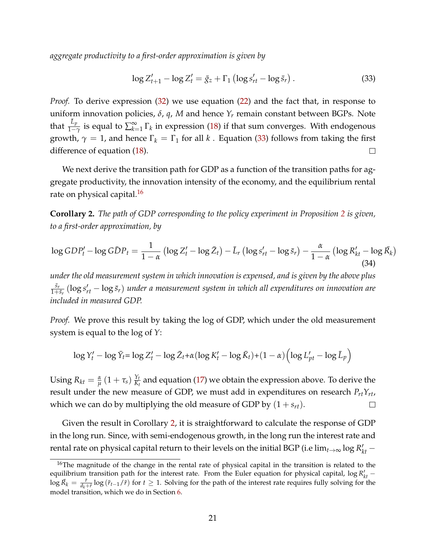*aggregate productivity to a first-order approximation is given by*

<span id="page-20-0"></span>
$$
\log Z'_{t+1} - \log Z'_t = \bar{g}_z + \Gamma_1 \left( \log s'_{rt} - \log \bar{s}_r \right). \tag{33}
$$

*Proof.* To derive expression [\(32\)](#page-19-2) we use equation [\(22\)](#page-17-2) and the fact that, in response to uniform innovation policies, *δ*, *q*, *M* and hence *Y<sup>r</sup>* remain constant between BGPs. Note that  $\frac{\bar{L}_p}{1-\gamma}$  is equal to  $\sum_{k=1}^{\infty}$  $\sum_{k=1}^{\infty} \Gamma_k$  in expression [\(18\)](#page-16-2) if that sum converges. With endogenous growth,  $\gamma = 1$ , and hence  $\Gamma_k = \Gamma_1$  for all *k*. Equation [\(33\)](#page-20-0) follows from taking the first difference of equation [\(18\)](#page-16-2).  $\Box$ 

We next derive the transition path for GDP as a function of the transition paths for aggregate productivity, the innovation intensity of the economy, and the equilibrium rental rate on physical capital.<sup>[16](#page-20-1)</sup>

<span id="page-20-2"></span>**Corollary 2.** *The path of GDP corresponding to the policy experiment in Proposition [2](#page-16-1) is given, to a first-order approximation, by*

<span id="page-20-3"></span>
$$
\log GDP'_t - \log GDP_t = \frac{1}{1-\alpha} \left( \log Z'_t - \log \bar{Z}_t \right) - \bar{L}_r \left( \log s'_{rt} - \log \bar{s}_r \right) - \frac{\alpha}{1-\alpha} \left( \log R'_{kt} - \log \bar{R}_k \right) \tag{34}
$$

*under the old measurement system in which innovation is expensed, and is given by the above plus s*¯*r*  $\frac{\bar{s}_r}{1+\bar{s}_r}\left(\log s_{rt}' - \log \bar{s}_r\right)$  under a measurement system in which all expenditures on innovation are *included in measured GDP.*

*Proof.* We prove this result by taking the log of GDP, which under the old measurement system is equal to the log of *Y*:

$$
\log Y'_t - \log \bar{Y}_t = \log Z'_t - \log \bar{Z}_t + \alpha (\log K'_t - \log \bar{K}_t) + (1 - \alpha) \left( \log L'_{pt} - \log \bar{L}_p \right)
$$

 $\text{Using } R_{kt} = \frac{\alpha}{\mu} \left( 1 + \tau_s \right) \frac{Y_t}{K_t}$  $\frac{Y_t}{K_t}$  and equation [\(17\)](#page-13-2) we obtain the expression above. To derive the result under the new measure of GDP, we must add in expenditures on research  $P_{rt}Y_{rt}$ , which we can do by multiplying the old measure of GDP by  $(1 + s_{rt})$ .  $\Box$ 

Given the result in Corollary [2,](#page-20-2) it is straightforward to calculate the response of GDP in the long run. Since, with semi-endogenous growth, in the long run the interest rate and rental rate on physical capital return to their levels on the initial BGP (i.e  $\lim_{t\to\infty} \log R'_{kt}$  –

<span id="page-20-1"></span><sup>&</sup>lt;sup>16</sup>The magnitude of the change in the rental rate of physical capital in the transition is related to the equilibrium transition path for the interest rate. From the Euler equation for physical capital,  $\log R'_{kt}$  −  $\log \bar{R}_k = \frac{\bar{r}}{d_k + \bar{r}} \log (\bar{r}_{t-1}/\bar{r})$  for  $t \ge 1$ . Solving for the path of the interest rate requires fully solving for the model transition, which we do in Section [6.](#page-33-0)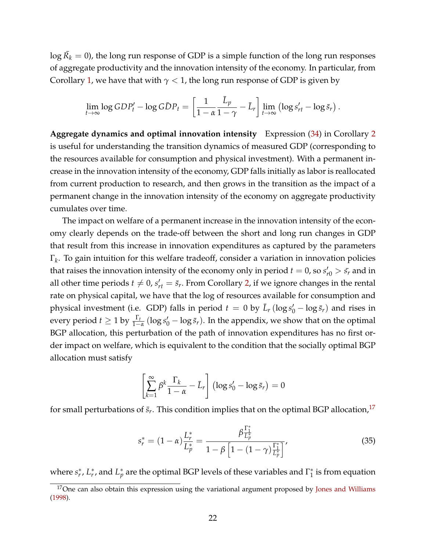$\log \bar{R_k} = 0$ ), the long run response of GDP is a simple function of the long run responses of aggregate productivity and the innovation intensity of the economy. In particular, from Corollary [1,](#page-19-3) we have that with  $\gamma$  < 1, the long run response of GDP is given by

$$
\lim_{t\to\infty}\log GDP'_t - \log G\bar{D}P_t = \left[\frac{1}{1-\alpha}\frac{\bar{L}_p}{1-\gamma} - \bar{L}_r\right] \lim_{t\to\infty} \left(\log s'_{rt} - \log \bar{s}_r\right).
$$

**Aggregate dynamics and optimal innovation intensity** Expression [\(34\)](#page-20-3) in Corollary [2](#page-20-2) is useful for understanding the transition dynamics of measured GDP (corresponding to the resources available for consumption and physical investment). With a permanent increase in the innovation intensity of the economy, GDP falls initially as labor is reallocated from current production to research, and then grows in the transition as the impact of a permanent change in the innovation intensity of the economy on aggregate productivity cumulates over time.

The impact on welfare of a permanent increase in the innovation intensity of the economy clearly depends on the trade-off between the short and long run changes in GDP that result from this increase in innovation expenditures as captured by the parameters Γ*k* . To gain intuition for this welfare tradeoff, consider a variation in innovation policies that raises the innovation intensity of the economy only in period  $t = 0$ , so  $s'_{r0} > s_r$  and in all other time periods  $t \neq 0$ ,  $s'_{rt} = \bar{s}_r$ . From Corollary [2,](#page-20-2) if we ignore changes in the rental rate on physical capital, we have that the log of resources available for consumption and physical investment (i.e. GDP) falls in period  $t = 0$  by  $\bar{L}_r (\log s'_0 - \log \bar{s}_r)$  and rises in every period  $t \ge 1$  by  $\frac{\Gamma_t}{1-\alpha}$  (log  $s'_0 - \log \bar{s}_r$ ). In the appendix, we show that on the optimal BGP allocation, this perturbation of the path of innovation expenditures has no first order impact on welfare, which is equivalent to the condition that the socially optimal BGP allocation must satisfy

$$
\left[\sum_{k=1}^{\infty} \beta^k \frac{\Gamma_k}{1-\alpha} - \bar{L}_r\right] \left(\log s'_0 - \log \bar{s}_r\right) = 0
$$

for small perturbations of  $\bar{s}_r$ . This condition implies that on the optimal BGP allocation,  $^{17}$  $^{17}$  $^{17}$ 

<span id="page-21-1"></span>
$$
s_r^* = (1 - \alpha) \frac{L_r^*}{L_p^*} = \frac{\beta \frac{\Gamma_1^*}{L_p^*}}{1 - \beta \left[1 - (1 - \gamma) \frac{\Gamma_1^*}{L_p^*}\right]},
$$
(35)

where  $s_r^*$ ,  $L_r^*$ , and  $L_p^*$  are the optimal BGP levels of these variables and  $\Gamma_1^*$  $_1^*$  is from equation

<span id="page-21-0"></span><sup>&</sup>lt;sup>17</sup>One can also obtain this expression using the variational argument proposed by [Jones and Williams](#page-41-13) [\(1998\)](#page-41-13).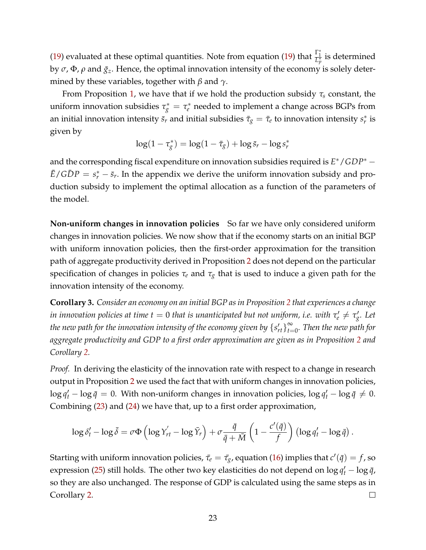[\(19\)](#page-17-5) evaluated at these optimal quantities. Note from equation (19) that  $\frac{\Gamma_1^*}{L_p^*}$  is determined by  $\sigma$ ,  $\Phi$ ,  $\rho$  and  $\bar{g}_z$ . Hence, the optimal innovation intensity of the economy is solely determined by these variables, together with *β* and *γ*.

From Proposition [1,](#page-16-0) we have that if we hold the production subsidy *τ<sup>s</sup>* constant, the uniform innovation subsidies  $\tau_g^* = \tau_e^*$  needed to implement a change across BGPs from an initial innovation intensity  $\bar{s}_r$  and initial subsidies  $\bar{\tau}_g = \bar{\tau}_e$  to innovation intensity  $s_r^*$  is given by

$$
\log(1 - \tau_g^*) = \log(1 - \bar{\tau}_g) + \log \bar{s}_r - \log s_r^*
$$

and the corresponding fiscal expenditure on innovation subsidies required is  $E^*$  / *GDP*<sup>∗</sup> −  $\bar{E}/G\bar{D}P = s_r^* - \bar{s}_r$ . In the appendix we derive the uniform innovation subsidy and production subsidy to implement the optimal allocation as a function of the parameters of the model.

**Non-uniform changes in innovation policies** So far we have only considered uniform changes in innovation policies. We now show that if the economy starts on an initial BGP with uniform innovation policies, then the first-order approximation for the transition path of aggregate productivity derived in Proposition [2](#page-16-1) does not depend on the particular specification of changes in policies *τ<sup>e</sup>* and *τ<sup>g</sup>* that is used to induce a given path for the innovation intensity of the economy.

<span id="page-22-0"></span>**Corollary 3.** *Consider an economy on an initial BGP as in Proposition [2](#page-16-1) that experiences a change*  $i$ *n innovation policies at time t*  $=$  *0 that is unanticipated but not uniform, i.e. with*  $\tau'_e \neq \tau'_g$ *. Let the new path for the innovation intensity of the economy given by*  $\{s'_{rt}\}_{t=1}^\infty$ *t*=0 *. Then the new path for aggregate productivity and GDP to a first order approximation are given as in Proposition [2](#page-16-1) and Corollary [2.](#page-20-2)*

*Proof.* In deriving the elasticity of the innovation rate with respect to a change in research output in Proposition [2](#page-16-1) we used the fact that with uniform changes in innovation policies,  $\log q'_t - \log \bar{q} = 0$ . With non-uniform changes in innovation policies,  $\log q'_t - \log \bar{q} \neq 0$ . Combining [\(23\)](#page-17-0) and [\(24\)](#page-17-1) we have that, up to a first order approximation,

$$
\log \delta'_t - \log \bar{\delta} = \sigma \Phi \left( \log Y'_{rt} - \log \bar{Y}_r \right) + \sigma \frac{\bar{q}}{\bar{q} + \bar{M}} \left( 1 - \frac{c'(\bar{q})}{f} \right) \left( \log q'_t - \log \bar{q} \right).
$$

Starting with uniform innovation policies,  $\bar{\tau}_e = \bar{\tau}_g$ , equation [\(16\)](#page-12-1) implies that  $c'(\bar{q}) = f$ , so expression [\(25\)](#page-17-3) still holds. The other two key elasticities do not depend on  $\log q_t' - \log \bar{q}$ , so they are also unchanged. The response of GDP is calculated using the same steps as in Corollary [2.](#page-20-2)  $\Box$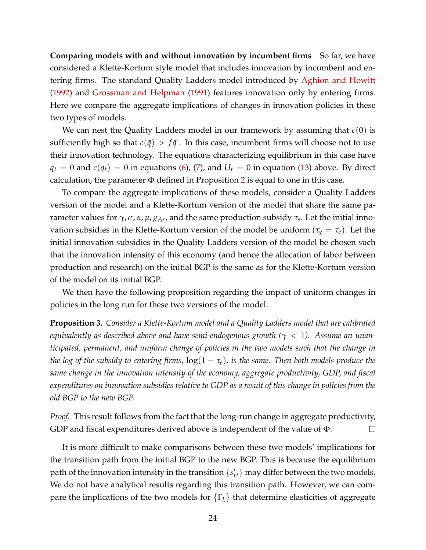**Comparing models with and without innovation by incumbent firms** So far, we have considered a Klette-Kortum style model that includes innovation by incumbent and entering firms. The standard Quality Ladders model introduced by [Aghion and Howitt](#page-40-4) [\(1992\)](#page-40-4) and [Grossman and Helpman](#page-41-7) [\(1991\)](#page-41-7) features innovation only by entering firms. Here we compare the aggregate implications of changes in innovation policies in these two types of models.

We can nest the Quality Ladders model in our framework by assuming that *c*(0) is sufficiently high so that  $c(\bar{q}) > f\bar{q}$ . In this case, incumbent firms will choose not to use their innovation technology. The equations characterizing equilibrium in this case have  $q_t = 0$  and  $c(q_t) = 0$  in equations [\(6\)](#page-7-2), [\(7\)](#page-7-0), and  $U_t = 0$  in equation [\(13\)](#page-11-0) above. By direct calculation, the parameter  $\Phi$  defined in Proposition [2](#page-16-1) is equal to one in this case.

To compare the aggregate implications of these models, consider a Quality Ladders version of the model and a Klette-Kortum version of the model that share the same parameter values for *γ*, *σ*, *α*, *µ*, *gAr*, and the same production subsidy *τ<sup>s</sup>* . Let the initial innovation subsidies in the Klette-Kortum version of the model be uniform ( $\tau_g = \tau_e$ ). Let the initial innovation subsidies in the Quality Ladders version of the model be chosen such that the innovation intensity of this economy (and hence the allocation of labor between production and research) on the initial BGP is the same as for the Klette-Kortum version of the model on its initial BGP.

We then have the following proposition regarding the impact of uniform changes in policies in the long run for these two versions of the model.

**Proposition 3.** *Consider a Klette-Kortum model and a Quality Ladders model that are calibrated equivalently as described above and have semi-endogenous growth (γ* < 1*). Assume an unanticipated, permanent, and uniform change of policies in the two models such that the change in the log of the subsidy to entering firms,*  $log(1 - \tau_e)$ *, is the same. Then both models produce the same change in the innovation intensity of the economy, aggregate productivity, GDP, and fiscal expenditures on innovation subsidies relative to GDP as a result of this change in policies from the old BGP to the new BGP.*

*Proof.* This result follows from the fact that the long-run change in aggregate productivity, GDP and fiscal expenditures derived above is independent of the value of Φ.  $\Box$ 

It is more difficult to make comparisons between these two models' implications for the transition path from the initial BGP to the new BGP. This is because the equilibrium path of the innovation intensity in the transition  $\{s'_{rt}\}$  may differ between the two models. We do not have analytical results regarding this transition path. However, we can compare the implications of the two models for  $\{\Gamma_k\}$  that determine elasticities of aggregate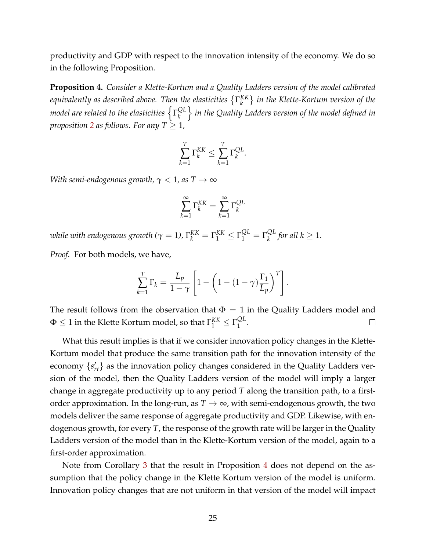productivity and GDP with respect to the innovation intensity of the economy. We do so in the following Proposition.

<span id="page-24-0"></span>**Proposition 4.** *Consider a Klette-Kortum and a Quality Ladders version of the model calibrated equivalently as described above. Then the elasticities* Γ *KK k in the Klette-Kortum version of the* model are related to the elasticities  $\left\{ \Gamma_k^{\mathrm{QL}}\right\}$ *k* o *in the Quality Ladders version of the model defined in proposition* [2](#page-16-1) *as follows. For any*  $T \geq 1$ *,* 

$$
\sum_{k=1}^T \Gamma_k^{KK} \le \sum_{k=1}^T \Gamma_k^{QL}.
$$

*With semi-endogenous growth,*  $\gamma$  < 1, as  $T \to \infty$ 

$$
\sum_{k=1}^{\infty} \Gamma_k^{KK} = \sum_{k=1}^{\infty} \Gamma_k^{QL}
$$

*while with endogenous growth (* $\gamma = 1$ *),*  $\Gamma_k^{KK} = \Gamma_1^{KK} \leq \Gamma_1^{QL} = \Gamma_k^{QL}$  $\int_{k}^{QL}$  for all  $k \geq 1$ .

*Proof.* For both models, we have,

$$
\sum_{k=1}^{T} \Gamma_k = \frac{\bar{L}_p}{1-\gamma} \left[ 1 - \left( 1 - (1-\gamma) \frac{\Gamma_1}{\bar{L}_p} \right)^T \right].
$$

The result follows from the observation that  $\Phi = 1$  in the Quality Ladders model and  $\Phi \leq 1$  in the Klette Kortum model, so that  $\Gamma_{1}^{KK} \leq \Gamma_{1}^{QL}$  $\Box$  $\frac{\mathcal{Q}L}{1}$ .

What this result implies is that if we consider innovation policy changes in the Klette-Kortum model that produce the same transition path for the innovation intensity of the economy  $\{s'_{rt}\}$  as the innovation policy changes considered in the Quality Ladders version of the model, then the Quality Ladders version of the model will imply a larger change in aggregate productivity up to any period *T* along the transition path, to a firstorder approximation. In the long-run, as  $T \to \infty$ , with semi-endogenous growth, the two models deliver the same response of aggregate productivity and GDP. Likewise, with endogenous growth, for every *T*, the response of the growth rate will be larger in the Quality Ladders version of the model than in the Klette-Kortum version of the model, again to a first-order approximation.

Note from Corollary [3](#page-22-0) that the result in Proposition [4](#page-24-0) does not depend on the assumption that the policy change in the Klette Kortum version of the model is uniform. Innovation policy changes that are not uniform in that version of the model will impact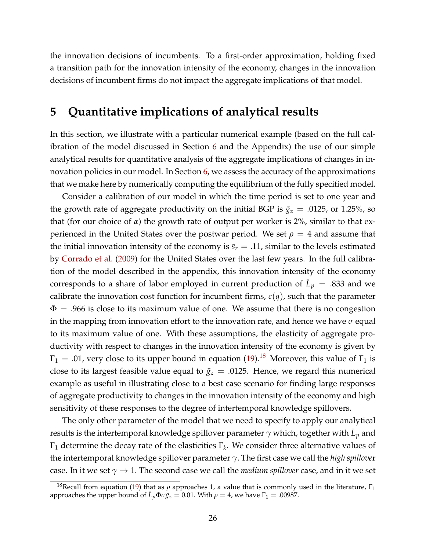the innovation decisions of incumbents. To a first-order approximation, holding fixed a transition path for the innovation intensity of the economy, changes in the innovation decisions of incumbent firms do not impact the aggregate implications of that model.

## <span id="page-25-0"></span>**5 Quantitative implications of analytical results**

In this section, we illustrate with a particular numerical example (based on the full calibration of the model discussed in Section [6](#page-33-0) and the Appendix) the use of our simple analytical results for quantitative analysis of the aggregate implications of changes in in-novation policies in our model. In Section [6,](#page-33-0) we assess the accuracy of the approximations that we make here by numerically computing the equilibrium of the fully specified model.

Consider a calibration of our model in which the time period is set to one year and the growth rate of aggregate productivity on the initial BGP is  $\bar{g}_z = .0125$ , or 1.25%, so that (for our choice of *α*) the growth rate of output per worker is 2%, similar to that experienced in the United States over the postwar period. We set  $\rho = 4$  and assume that the initial innovation intensity of the economy is  $\bar{s}_r = .11$ , similar to the levels estimated by [Corrado et al.](#page-41-1) [\(2009\)](#page-41-1) for the United States over the last few years. In the full calibration of the model described in the appendix, this innovation intensity of the economy corresponds to a share of labor employed in current production of  $\bar{L}_p = .833$  and we calibrate the innovation cost function for incumbent firms, *c*(*q*), such that the parameter  $\Phi = .966$  is close to its maximum value of one. We assume that there is no congestion in the mapping from innovation effort to the innovation rate, and hence we have *σ* equal to its maximum value of one. With these assumptions, the elasticity of aggregate productivity with respect to changes in the innovation intensity of the economy is given by  $\Gamma_1 = .01$ , very close to its upper bound in equation [\(19\)](#page-17-5).<sup>[18](#page-25-1)</sup> Moreover, this value of  $\Gamma_1$  is close to its largest feasible value equal to  $\bar{g}_z = .0125$ . Hence, we regard this numerical example as useful in illustrating close to a best case scenario for finding large responses of aggregate productivity to changes in the innovation intensity of the economy and high sensitivity of these responses to the degree of intertemporal knowledge spillovers.

The only other parameter of the model that we need to specify to apply our analytical results is the intertemporal knowledge spillover parameter  $\gamma$  which, together with  $\bar{L}_p$  and Γ<sup>1</sup> determine the decay rate of the elasticities Γ*<sup>k</sup>* . We consider three alternative values of the intertemporal knowledge spillover parameter *γ*. The first case we call the *high spillove*r case. In it we set  $\gamma \rightarrow 1$ . The second case we call the *medium spillover* case, and in it we set

<span id="page-25-1"></span><sup>&</sup>lt;sup>18</sup>Recall from equation [\(19\)](#page-17-5) that as  $ρ$  approaches 1, a value that is commonly used in the literature,  $Γ_1$ approaches the upper bound of  $\bar{L}_p \Phi \sigma \bar{g}_z = 0.01$ . With  $\rho = 4$ , we have  $\Gamma_1 = .00987$ .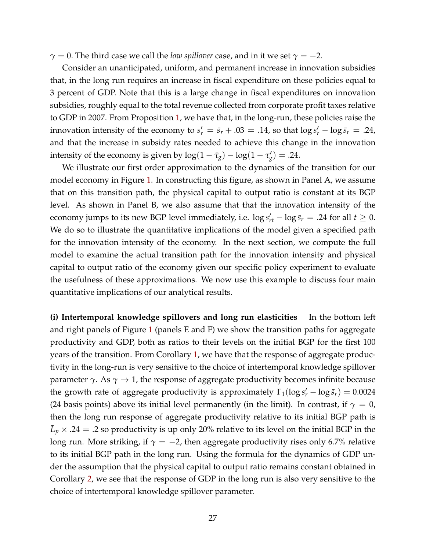$\gamma = 0$ . The third case we call the *low spillover* case, and in it we set  $\gamma = -2$ .

Consider an unanticipated, uniform, and permanent increase in innovation subsidies that, in the long run requires an increase in fiscal expenditure on these policies equal to 3 percent of GDP. Note that this is a large change in fiscal expenditures on innovation subsidies, roughly equal to the total revenue collected from corporate profit taxes relative to GDP in 2007. From Proposition [1,](#page-16-0) we have that, in the long-run, these policies raise the innovation intensity of the economy to  $s'_r = \bar{s}_r + .03 = .14$ , so that  $\log s'_r - \log \bar{s}_r = .24$ , and that the increase in subsidy rates needed to achieve this change in the innovation intensity of the economy is given by  $\log(1 - \bar{\tau}_g) - \log(1 - \tau'_g) = .24$ .

We illustrate our first order approximation to the dynamics of the transition for our model economy in Figure [1.](#page-27-0) In constructing this figure, as shown in Panel A, we assume that on this transition path, the physical capital to output ratio is constant at its BGP level. As shown in Panel B, we also assume that that the innovation intensity of the economy jumps to its new BGP level immediately, i.e.  $\log s'_{rt} - \log \bar{s}_r = .24$  for all  $t \geq 0$ . We do so to illustrate the quantitative implications of the model given a specified path for the innovation intensity of the economy. In the next section, we compute the full model to examine the actual transition path for the innovation intensity and physical capital to output ratio of the economy given our specific policy experiment to evaluate the usefulness of these approximations. We now use this example to discuss four main quantitative implications of our analytical results.

**(i) Intertemporal knowledge spillovers and long run elasticities** In the bottom left and right panels of Figure [1](#page-27-0) (panels E and F) we show the transition paths for aggregate productivity and GDP, both as ratios to their levels on the initial BGP for the first 100 years of the transition. From Corollary [1,](#page-19-3) we have that the response of aggregate productivity in the long-run is very sensitive to the choice of intertemporal knowledge spillover parameter *γ*. As  $\gamma \rightarrow 1$ , the response of aggregate productivity becomes infinite because the growth rate of aggregate productivity is approximately  $\Gamma_1(\log s'_r - \log \bar{s}_r) = 0.0024$ (24 basis points) above its initial level permanently (in the limit). In contrast, if  $\gamma = 0$ , then the long run response of aggregate productivity relative to its initial BGP path is  $\bar{L}_p \times .24 = .2$  so productivity is up only 20% relative to its level on the initial BGP in the long run. More striking, if  $\gamma = -2$ , then aggregate productivity rises only 6.7% relative to its initial BGP path in the long run. Using the formula for the dynamics of GDP under the assumption that the physical capital to output ratio remains constant obtained in Corollary [2,](#page-20-2) we see that the response of GDP in the long run is also very sensitive to the choice of intertemporal knowledge spillover parameter.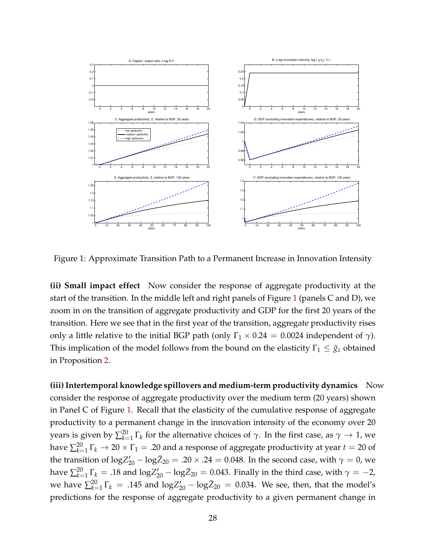

<span id="page-27-0"></span>Figure 1: Approximate Transition Path to a Permanent Increase in Innovation Intensity

**(ii) Small impact effect** Now consider the response of aggregate productivity at the start of the transition. In the middle left and right panels of Figure [1](#page-27-0) (panels C and D), we zoom in on the transition of aggregate productivity and GDP for the first 20 years of the transition. Here we see that in the first year of the transition, aggregate productivity rises only a little relative to the initial BGP path (only  $\Gamma_1 \times 0.24 = 0.0024$  independent of  $\gamma$ ). This implication of the model follows from the bound on the elasticity  $\Gamma_1 \leq \bar{g}_z$  obtained in Proposition [2.](#page-16-1)

**(iii) Intertemporal knowledge spillovers and medium-term productivity dynamics** Now consider the response of aggregate productivity over the medium term (20 years) shown in Panel C of Figure [1.](#page-27-0) Recall that the elasticity of the cumulative response of aggregate productivity to a permanent change in the innovation intensity of the economy over 20 years is given by  $\sum_{k=1}^{20} \Gamma_k$  for the alternative choices of  $\gamma.$  In the first case, as  $\gamma \to 1$ , we have  $\sum_{k=1}^{20} \Gamma_k \to 20 \times \Gamma_1 = .20$  and a response of aggregate productivity at year  $t=20$  of the transition of  $\log Z'_{20} - \log \bar{Z}_{20} = .20 \times .24 = 0.048$ . In the second case, with  $\gamma = 0$ , we have  $\sum_{k=1}^{20} \Gamma_k = .18$  and  $\mathrm{log}Z'_{20} - \mathrm{log}\bar{Z}_{20} = 0.043$ . Finally in the third case, with  $\gamma = -2$ , we have  $\sum_{k=1}^{20} \Gamma_k = .145$  and  $\log Z'_{20} - \log \bar{Z}_{20} = 0.034$ . We see, then, that the model's predictions for the response of aggregate productivity to a given permanent change in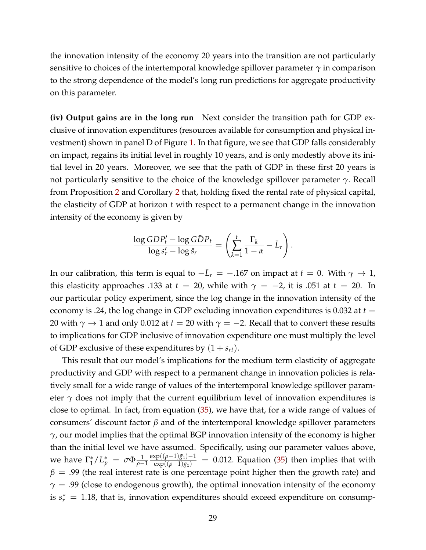the innovation intensity of the economy 20 years into the transition are not particularly sensitive to choices of the intertemporal knowledge spillover parameter  $\gamma$  in comparison to the strong dependence of the model's long run predictions for aggregate productivity on this parameter.

**(iv) Output gains are in the long run** Next consider the transition path for GDP exclusive of innovation expenditures (resources available for consumption and physical investment) shown in panel D of Figure [1.](#page-27-0) In that figure, we see that GDP falls considerably on impact, regains its initial level in roughly 10 years, and is only modestly above its initial level in 20 years. Moreover, we see that the path of GDP in these first 20 years is not particularly sensitive to the choice of the knowledge spillover parameter *γ*. Recall from Proposition [2](#page-16-1) and Corollary [2](#page-20-2) that, holding fixed the rental rate of physical capital, the elasticity of GDP at horizon *t* with respect to a permanent change in the innovation intensity of the economy is given by

$$
\frac{\log GDP'_t - \log G\bar{D}P_t}{\log s'_r - \log \bar{s}_r} = \left(\sum_{k=1}^t \frac{\Gamma_k}{1-\alpha} - \bar{L}_r\right).
$$

In our calibration, this term is equal to  $-\bar{L}_r = -.167$  on impact at  $t = 0$ . With  $\gamma \to 1$ , this elasticity approaches .133 at  $t = 20$ , while with  $\gamma = -2$ , it is .051 at  $t = 20$ . In our particular policy experiment, since the log change in the innovation intensity of the economy is .24, the log change in GDP excluding innovation expenditures is 0.032 at  $t =$ 20 with  $\gamma \rightarrow 1$  and only 0.012 at  $t = 20$  with  $\gamma = -2$ . Recall that to convert these results to implications for GDP inclusive of innovation expenditure one must multiply the level of GDP exclusive of these expenditures by  $(1 + s_{rt})$ .

This result that our model's implications for the medium term elasticity of aggregate productivity and GDP with respect to a permanent change in innovation policies is relatively small for a wide range of values of the intertemporal knowledge spillover parameter  $\gamma$  does not imply that the current equilibrium level of innovation expenditures is close to optimal. In fact, from equation [\(35\)](#page-21-1), we have that, for a wide range of values of consumers' discount factor *β* and of the intertemporal knowledge spillover parameters *γ*, our model implies that the optimal BGP innovation intensity of the economy is higher than the initial level we have assumed. Specifically, using our parameter values above, we have  $\Gamma_1^*$  $\int_{1}^{*}/L_{p}^{*} = \sigma \Phi \frac{1}{\rho - 1}$  $\frac{\exp((\rho-1)\bar{g}_z)-1}{\exp((\rho-1)\bar{g}_z)} = 0.012$ . Equation [\(35\)](#page-21-1) then implies that with  $\beta$  = .99 (the real interest rate is one percentage point higher then the growth rate) and  $\gamma$  = .99 (close to endogenous growth), the optimal innovation intensity of the economy is  $s_r^* = 1.18$ , that is, innovation expenditures should exceed expenditure on consump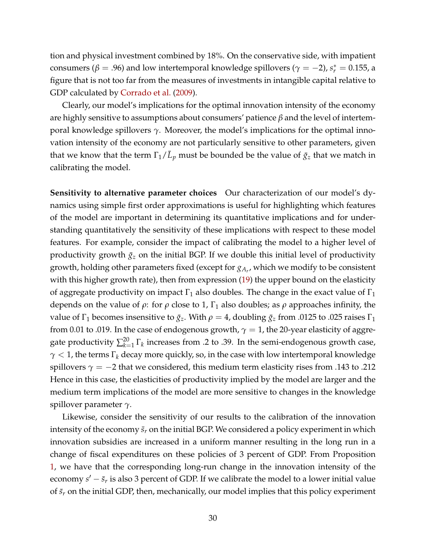tion and physical investment combined by 18%. On the conservative side, with impatient consumers ( $β = .96$ ) and low intertemporal knowledge spillovers ( $γ = -2$ ),  $s<sub>r</sub><sup>*</sup> = 0.155$ , a figure that is not too far from the measures of investments in intangible capital relative to GDP calculated by [Corrado et al.](#page-41-1) [\(2009\)](#page-41-1).

Clearly, our model's implications for the optimal innovation intensity of the economy are highly sensitive to assumptions about consumers' patience *β* and the level of intertemporal knowledge spillovers *γ*. Moreover, the model's implications for the optimal innovation intensity of the economy are not particularly sensitive to other parameters, given that we know that the term  $\Gamma_1/\bar{L}_p$  must be bounded be the value of  $\bar{g}_z$  that we match in calibrating the model.

**Sensitivity to alternative parameter choices** Our characterization of our model's dynamics using simple first order approximations is useful for highlighting which features of the model are important in determining its quantitative implications and for understanding quantitatively the sensitivity of these implications with respect to these model features. For example, consider the impact of calibrating the model to a higher level of productivity growth  $\bar{g}_z$  on the initial BGP. If we double this initial level of productivity growth, holding other parameters fixed (except for *gA<sup>r</sup>* , which we modify to be consistent with this higher growth rate), then from expression [\(19\)](#page-17-5) the upper bound on the elasticity of aggregate productivity on impact  $\Gamma_1$  also doubles. The change in the exact value of  $\Gamma_1$ depends on the value of  $\rho$ : for  $\rho$  close to 1,  $\Gamma_1$  also doubles; as  $\rho$  approaches infinity, the value of  $\Gamma_1$  becomes insensitive to  $\bar{g}_z$ . With  $\rho = 4$ , doubling  $\bar{g}_z$  from .0125 to .025 raises  $\Gamma_1$ from 0.01 to .019. In the case of endogenous growth,  $\gamma = 1$ , the 20-year elasticity of aggregate productivity  $\sum_{k=1}^{20} \Gamma_k$  increases from .2 to .39. In the semi-endogenous growth case, *γ* < 1, the terms Γ*<sup>k</sup>* decay more quickly, so, in the case with low intertemporal knowledge spillovers  $\gamma = -2$  that we considered, this medium term elasticity rises from .143 to .212 Hence in this case, the elasticities of productivity implied by the model are larger and the medium term implications of the model are more sensitive to changes in the knowledge spillover parameter *γ*.

Likewise, consider the sensitivity of our results to the calibration of the innovation intensity of the economy  $\bar{s}_r$  on the initial BGP. We considered a policy experiment in which innovation subsidies are increased in a uniform manner resulting in the long run in a change of fiscal expenditures on these policies of 3 percent of GDP. From Proposition [1,](#page-16-0) we have that the corresponding long-run change in the innovation intensity of the economy  $s' - \bar{s}_r$  is also 3 percent of GDP. If we calibrate the model to a lower initial value of  $\bar{s}_r$  on the initial GDP, then, mechanically, our model implies that this policy experiment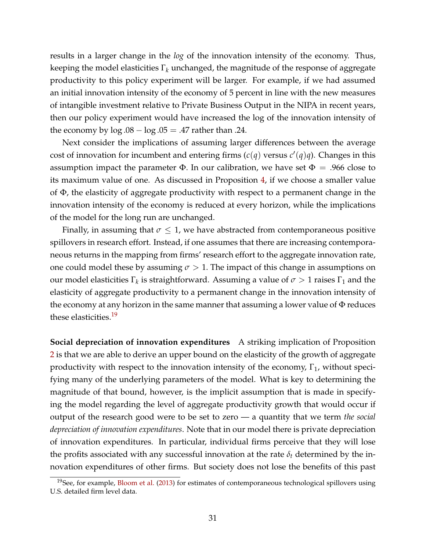results in a larger change in the *log* of the innovation intensity of the economy. Thus, keeping the model elasticities Γ*<sup>k</sup>* unchanged, the magnitude of the response of aggregate productivity to this policy experiment will be larger. For example, if we had assumed an initial innovation intensity of the economy of 5 percent in line with the new measures of intangible investment relative to Private Business Output in the NIPA in recent years, then our policy experiment would have increased the log of the innovation intensity of the economy by  $log .08 - log .05 = .47$  rather than .24.

Next consider the implications of assuming larger differences between the average cost of innovation for incumbent and entering firms  $(c(q)$  versus  $c'(q)q)$ . Changes in this assumption impact the parameter  $\Phi$ . In our calibration, we have set  $\Phi = .966$  close to its maximum value of one. As discussed in Proposition [4,](#page-24-0) if we choose a smaller value of Φ, the elasticity of aggregate productivity with respect to a permanent change in the innovation intensity of the economy is reduced at every horizon, while the implications of the model for the long run are unchanged.

Finally, in assuming that  $\sigma \leq 1$ , we have abstracted from contemporaneous positive spillovers in research effort. Instead, if one assumes that there are increasing contemporaneous returns in the mapping from firms' research effort to the aggregate innovation rate, one could model these by assuming  $\sigma > 1$ . The impact of this change in assumptions on our model elasticities  $\Gamma_k$  is straightforward. Assuming a value of  $\sigma > 1$  raises  $\Gamma_1$  and the elasticity of aggregate productivity to a permanent change in the innovation intensity of the economy at any horizon in the same manner that assuming a lower value of  $\Phi$  reduces these elasticities.<sup>[19](#page-30-0)</sup>

**Social depreciation of innovation expenditures** A striking implication of Proposition [2](#page-16-1) is that we are able to derive an upper bound on the elasticity of the growth of aggregate productivity with respect to the innovation intensity of the economy,  $\Gamma_1$ , without specifying many of the underlying parameters of the model. What is key to determining the magnitude of that bound, however, is the implicit assumption that is made in specifying the model regarding the level of aggregate productivity growth that would occur if output of the research good were to be set to zero — a quantity that we term *the social depreciation of innovation expenditures*. Note that in our model there is private depreciation of innovation expenditures. In particular, individual firms perceive that they will lose the profits associated with any successful innovation at the rate  $\delta_t$  determined by the innovation expenditures of other firms. But society does not lose the benefits of this past

<span id="page-30-0"></span> $19$ See, for example, [Bloom et al.](#page-41-14) [\(2013\)](#page-41-14) for estimates of contemporaneous technological spillovers using U.S. detailed firm level data.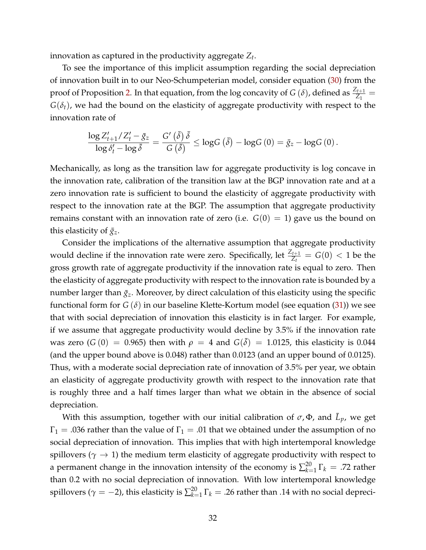innovation as captured in the productivity aggregate *Z<sup>t</sup>* .

To see the importance of this implicit assumption regarding the social depreciation of innovation built in to our Neo-Schumpeterian model, consider equation [\(30\)](#page-19-1) from the proof of Proposition [2.](#page-16-1) In that equation, from the log concavity of *G* ( $\delta$ ), defined as  $\frac{Z_{t+1}}{Z_1}$  =  $G(\delta_t)$ , we had the bound on the elasticity of aggregate productivity with respect to the innovation rate of

$$
\frac{\log Z'_{t+1}/Z'_t - \bar{g}_z}{\log \delta'_t - \log \bar{\delta}} = \frac{G'\left(\bar{\delta}\right)\bar{\delta}}{G\left(\bar{\delta}\right)} \le \log G\left(\bar{\delta}\right) - \log G\left(0\right) = \bar{g}_z - \log G\left(0\right).
$$

Mechanically, as long as the transition law for aggregate productivity is log concave in the innovation rate, calibration of the transition law at the BGP innovation rate and at a zero innovation rate is sufficient to bound the elasticity of aggregate productivity with respect to the innovation rate at the BGP. The assumption that aggregate productivity remains constant with an innovation rate of zero (i.e.  $G(0) = 1$ ) gave us the bound on this elasticity of  $\bar{g}_z$ .

Consider the implications of the alternative assumption that aggregate productivity would decline if the innovation rate were zero. Specifically, let  $\frac{Z_{t+1}}{Z_t} = G(0) < 1$  be the gross growth rate of aggregate productivity if the innovation rate is equal to zero. Then the elasticity of aggregate productivity with respect to the innovation rate is bounded by a number larger than  $\bar{g}_z$ . Moreover, by direct calculation of this elasticity using the specific functional form for  $G(\delta)$  in our baseline Klette-Kortum model (see equation [\(31\)](#page-19-4)) we see that with social depreciation of innovation this elasticity is in fact larger. For example, if we assume that aggregate productivity would decline by 3.5% if the innovation rate was zero ( $G(0) = 0.965$ ) then with  $\rho = 4$  and  $G(\bar{\delta}) = 1.0125$ , this elasticity is 0.044 (and the upper bound above is 0.048) rather than 0.0123 (and an upper bound of 0.0125). Thus, with a moderate social depreciation rate of innovation of 3.5% per year, we obtain an elasticity of aggregate productivity growth with respect to the innovation rate that is roughly three and a half times larger than what we obtain in the absence of social depreciation.

With this assumption, together with our initial calibration of  $\sigma$ ,  $\Phi$ , and  $\bar{L}_p$ , we get  $\Gamma_1 = .036$  rather than the value of  $\Gamma_1 = .01$  that we obtained under the assumption of no social depreciation of innovation. This implies that with high intertemporal knowledge spillovers ( $\gamma \rightarrow 1$ ) the medium term elasticity of aggregate productivity with respect to a permanent change in the innovation intensity of the economy is  $\sum_{k=1}^{20} \Gamma_k = .72$  rather than 0.2 with no social depreciation of innovation. With low intertemporal knowledge spillovers ( $\gamma = -2$ ), this elasticity is  $\sum_{k=1}^{20} \Gamma_k = .26$  rather than .14 with no social depreci-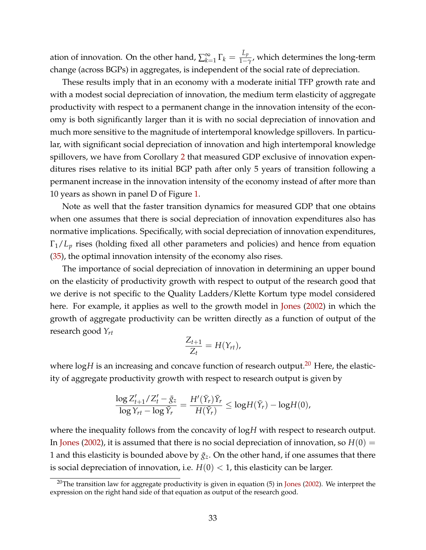ation of innovation. On the other hand,  $\sum_{k=1}^{\infty}$  $\sum\limits_{k=1}^{\infty}\Gamma_{k}=\frac{\bar{L}_{p}}{1-\gamma}$ , which determines the long-term change (across BGPs) in aggregates, is independent of the social rate of depreciation.

These results imply that in an economy with a moderate initial TFP growth rate and with a modest social depreciation of innovation, the medium term elasticity of aggregate productivity with respect to a permanent change in the innovation intensity of the economy is both significantly larger than it is with no social depreciation of innovation and much more sensitive to the magnitude of intertemporal knowledge spillovers. In particular, with significant social depreciation of innovation and high intertemporal knowledge spillovers, we have from Corollary [2](#page-20-2) that measured GDP exclusive of innovation expenditures rises relative to its initial BGP path after only 5 years of transition following a permanent increase in the innovation intensity of the economy instead of after more than 10 years as shown in panel D of Figure [1.](#page-27-0)

Note as well that the faster transition dynamics for measured GDP that one obtains when one assumes that there is social depreciation of innovation expenditures also has normative implications. Specifically, with social depreciation of innovation expenditures, Γ1/*L<sup>p</sup>* rises (holding fixed all other parameters and policies) and hence from equation [\(35\)](#page-21-1), the optimal innovation intensity of the economy also rises.

The importance of social depreciation of innovation in determining an upper bound on the elasticity of productivity growth with respect to output of the research good that we derive is not specific to the Quality Ladders/Klette Kortum type model considered here. For example, it applies as well to the growth model in [Jones](#page-41-8) [\(2002\)](#page-41-8) in which the growth of aggregate productivity can be written directly as a function of output of the research good *Yrt*

$$
\frac{Z_{t+1}}{Z_t}=H(Y_{rt}),
$$

where  $\log H$  is an increasing and concave function of research output.<sup>[20](#page-32-0)</sup> Here, the elasticity of aggregate productivity growth with respect to research output is given by

$$
\frac{\log Z'_{t+1}/Z'_t - \bar{g}_z}{\log Y_{rt} - \log \bar{Y}_r} = \frac{H'(\bar{Y}_r)\bar{Y}_r}{H(\bar{Y}_r)} \le \log H(\bar{Y}_r) - \log H(0),
$$

where the inequality follows from the concavity of log*H* with respect to research output. In [Jones](#page-41-8) [\(2002\)](#page-41-8), it is assumed that there is no social depreciation of innovation, so  $H(0) =$ 1 and this elasticity is bounded above by  $\bar{g}_z$ . On the other hand, if one assumes that there is social depreciation of innovation, i.e.  $H(0) < 1$ , this elasticity can be larger.

<span id="page-32-0"></span> $20$ The transition law for aggregate productivity is given in equation (5) in [Jones](#page-41-8) [\(2002\)](#page-41-8). We interpret the expression on the right hand side of that equation as output of the research good.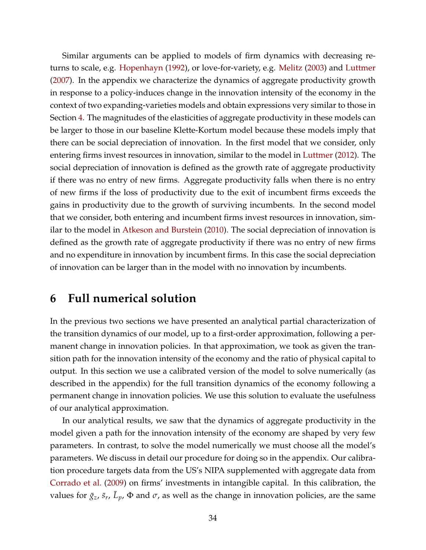Similar arguments can be applied to models of firm dynamics with decreasing returns to scale, e.g. [Hopenhayn](#page-41-15) [\(1992\)](#page-41-15), or love-for-variety, e.g. [Melitz](#page-42-8) [\(2003\)](#page-42-8) and [Luttmer](#page-42-3) [\(2007\)](#page-42-3). In the appendix we characterize the dynamics of aggregate productivity growth in response to a policy-induces change in the innovation intensity of the economy in the context of two expanding-varieties models and obtain expressions very similar to those in Section [4.](#page-15-0) The magnitudes of the elasticities of aggregate productivity in these models can be larger to those in our baseline Klette-Kortum model because these models imply that there can be social depreciation of innovation. In the first model that we consider, only entering firms invest resources in innovation, similar to the model in [Luttmer](#page-42-9) [\(2012\)](#page-42-9). The social depreciation of innovation is defined as the growth rate of aggregate productivity if there was no entry of new firms. Aggregate productivity falls when there is no entry of new firms if the loss of productivity due to the exit of incumbent firms exceeds the gains in productivity due to the growth of surviving incumbents. In the second model that we consider, both entering and incumbent firms invest resources in innovation, similar to the model in [Atkeson and Burstein](#page-40-2) [\(2010\)](#page-40-2). The social depreciation of innovation is defined as the growth rate of aggregate productivity if there was no entry of new firms and no expenditure in innovation by incumbent firms. In this case the social depreciation of innovation can be larger than in the model with no innovation by incumbents.

## <span id="page-33-0"></span>**6 Full numerical solution**

In the previous two sections we have presented an analytical partial characterization of the transition dynamics of our model, up to a first-order approximation, following a permanent change in innovation policies. In that approximation, we took as given the transition path for the innovation intensity of the economy and the ratio of physical capital to output. In this section we use a calibrated version of the model to solve numerically (as described in the appendix) for the full transition dynamics of the economy following a permanent change in innovation policies. We use this solution to evaluate the usefulness of our analytical approximation.

In our analytical results, we saw that the dynamics of aggregate productivity in the model given a path for the innovation intensity of the economy are shaped by very few parameters. In contrast, to solve the model numerically we must choose all the model's parameters. We discuss in detail our procedure for doing so in the appendix. Our calibration procedure targets data from the US's NIPA supplemented with aggregate data from [Corrado et al.](#page-41-1) [\(2009\)](#page-41-1) on firms' investments in intangible capital. In this calibration, the values for  $\bar{g}_z$ ,  $\bar{s}_r$ ,  $\bar{L}_p$ ,  $\Phi$  and  $\sigma$ , as well as the change in innovation policies, are the same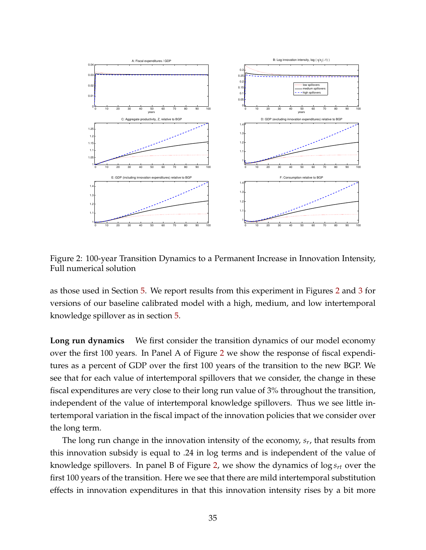

<span id="page-34-0"></span>Figure 2: 100-year Transition Dynamics to a Permanent Increase in Innovation Intensity, Full numerical solution

as those used in Section [5.](#page-25-0) We report results from this experiment in Figures [2](#page-34-0) and [3](#page-36-0) for versions of our baseline calibrated model with a high, medium, and low intertemporal knowledge spillover as in section [5.](#page-25-0)

**Long run dynamics** We first consider the transition dynamics of our model economy over the first 100 years. In Panel A of Figure [2](#page-34-0) we show the response of fiscal expenditures as a percent of GDP over the first 100 years of the transition to the new BGP. We see that for each value of intertemporal spillovers that we consider, the change in these fiscal expenditures are very close to their long run value of 3% throughout the transition, independent of the value of intertemporal knowledge spillovers. Thus we see little intertemporal variation in the fiscal impact of the innovation policies that we consider over the long term.

The long run change in the innovation intensity of the economy, *s<sup>r</sup>* , that results from this innovation subsidy is equal to .24 in log terms and is independent of the value of knowledge spillovers. In panel B of Figure [2,](#page-34-0) we show the dynamics of log *srt* over the first 100 years of the transition. Here we see that there are mild intertemporal substitution effects in innovation expenditures in that this innovation intensity rises by a bit more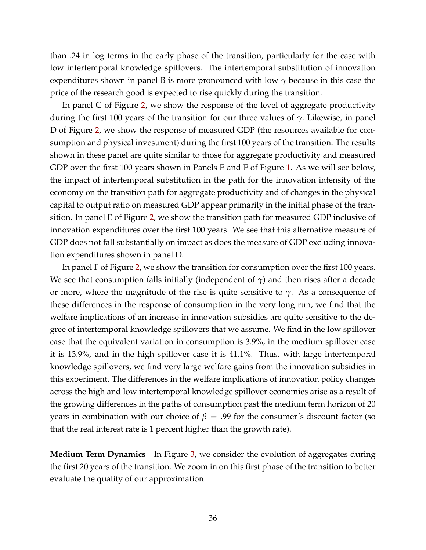than .24 in log terms in the early phase of the transition, particularly for the case with low intertemporal knowledge spillovers. The intertemporal substitution of innovation expenditures shown in panel B is more pronounced with low *γ* because in this case the price of the research good is expected to rise quickly during the transition.

In panel C of Figure [2,](#page-34-0) we show the response of the level of aggregate productivity during the first 100 years of the transition for our three values of *γ*. Likewise, in panel D of Figure [2,](#page-34-0) we show the response of measured GDP (the resources available for consumption and physical investment) during the first 100 years of the transition. The results shown in these panel are quite similar to those for aggregate productivity and measured GDP over the first 100 years shown in Panels E and F of Figure [1.](#page-27-0) As we will see below, the impact of intertemporal substitution in the path for the innovation intensity of the economy on the transition path for aggregate productivity and of changes in the physical capital to output ratio on measured GDP appear primarily in the initial phase of the transition. In panel E of Figure [2,](#page-34-0) we show the transition path for measured GDP inclusive of innovation expenditures over the first 100 years. We see that this alternative measure of GDP does not fall substantially on impact as does the measure of GDP excluding innovation expenditures shown in panel D.

In panel F of Figure [2,](#page-34-0) we show the transition for consumption over the first 100 years. We see that consumption falls initially (independent of  $\gamma$ ) and then rises after a decade or more, where the magnitude of the rise is quite sensitive to  $\gamma$ . As a consequence of these differences in the response of consumption in the very long run, we find that the welfare implications of an increase in innovation subsidies are quite sensitive to the degree of intertemporal knowledge spillovers that we assume. We find in the low spillover case that the equivalent variation in consumption is 3.9%, in the medium spillover case it is 13.9%, and in the high spillover case it is 41.1%. Thus, with large intertemporal knowledge spillovers, we find very large welfare gains from the innovation subsidies in this experiment. The differences in the welfare implications of innovation policy changes across the high and low intertemporal knowledge spillover economies arise as a result of the growing differences in the paths of consumption past the medium term horizon of 20 years in combination with our choice of  $\beta = .99$  for the consumer's discount factor (so that the real interest rate is 1 percent higher than the growth rate).

**Medium Term Dynamics** In Figure [3,](#page-36-0) we consider the evolution of aggregates during the first 20 years of the transition. We zoom in on this first phase of the transition to better evaluate the quality of our approximation.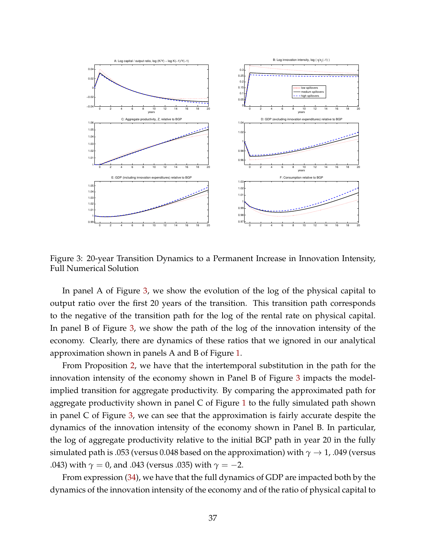

<span id="page-36-0"></span>Figure 3: 20-year Transition Dynamics to a Permanent Increase in Innovation Intensity, Full Numerical Solution

In panel A of Figure [3,](#page-36-0) we show the evolution of the log of the physical capital to output ratio over the first 20 years of the transition. This transition path corresponds to the negative of the transition path for the log of the rental rate on physical capital. In panel B of Figure [3,](#page-36-0) we show the path of the log of the innovation intensity of the economy. Clearly, there are dynamics of these ratios that we ignored in our analytical approximation shown in panels A and B of Figure [1.](#page-27-0)

From Proposition [2,](#page-16-1) we have that the intertemporal substitution in the path for the innovation intensity of the economy shown in Panel B of Figure [3](#page-36-0) impacts the modelimplied transition for aggregate productivity. By comparing the approximated path for aggregate productivity shown in panel C of Figure [1](#page-27-0) to the fully simulated path shown in panel C of Figure [3,](#page-36-0) we can see that the approximation is fairly accurate despite the dynamics of the innovation intensity of the economy shown in Panel B. In particular, the log of aggregate productivity relative to the initial BGP path in year 20 in the fully simulated path is .053 (versus 0.048 based on the approximation) with  $\gamma \rightarrow 1$ , .049 (versus .043) with  $\gamma = 0$ , and .043 (versus .035) with  $\gamma = -2$ .

From expression [\(34\)](#page-20-3), we have that the full dynamics of GDP are impacted both by the dynamics of the innovation intensity of the economy and of the ratio of physical capital to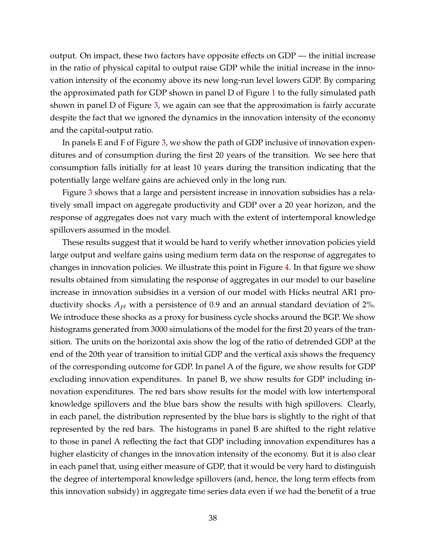output. On impact, these two factors have opposite effects on GDP — the initial increase in the ratio of physical capital to output raise GDP while the initial increase in the innovation intensity of the economy above its new long-run level lowers GDP. By comparing the approximated path for GDP shown in panel D of Figure [1](#page-27-0) to the fully simulated path shown in panel D of Figure [3,](#page-36-0) we again can see that the approximation is fairly accurate despite the fact that we ignored the dynamics in the innovation intensity of the economy and the capital-output ratio.

In panels E and F of Figure [3,](#page-36-0) we show the path of GDP inclusive of innovation expenditures and of consumption during the first 20 years of the transition. We see here that consumption falls initially for at least 10 years during the transition indicating that the potentially large welfare gains are achieved only in the long run.

Figure [3](#page-36-0) shows that a large and persistent increase in innovation subsidies has a relatively small impact on aggregate productivity and GDP over a 20 year horizon, and the response of aggregates does not vary much with the extent of intertemporal knowledge spillovers assumed in the model.

These results suggest that it would be hard to verify whether innovation policies yield large output and welfare gains using medium term data on the response of aggregates to changes in innovation policies. We illustrate this point in Figure [4.](#page-38-0) In that figure we show results obtained from simulating the response of aggregates in our model to our baseline increase in innovation subsidies in a version of our model with Hicks neutral AR1 productivity shocks *Apt* with a persistence of 0.9 and an annual standard deviation of 2%. We introduce these shocks as a proxy for business cycle shocks around the BGP. We show histograms generated from 3000 simulations of the model for the first 20 years of the transition. The units on the horizontal axis show the log of the ratio of detrended GDP at the end of the 20th year of transition to initial GDP and the vertical axis shows the frequency of the corresponding outcome for GDP. In panel A of the figure, we show results for GDP excluding innovation expenditures. In panel B, we show results for GDP including innovation expenditures. The red bars show results for the model with low intertemporal knowledge spillovers and the blue bars show the results with high spillovers. Clearly, in each panel, the distribution represented by the blue bars is slightly to the right of that represented by the red bars. The histograms in panel B are shifted to the right relative to those in panel A reflecting the fact that GDP including innovation expenditures has a higher elasticity of changes in the innovation intensity of the economy. But it is also clear in each panel that, using either measure of GDP, that it would be very hard to distinguish the degree of intertemporal knowledge spillovers (and, hence, the long term effects from this innovation subsidy) in aggregate time series data even if we had the benefit of a true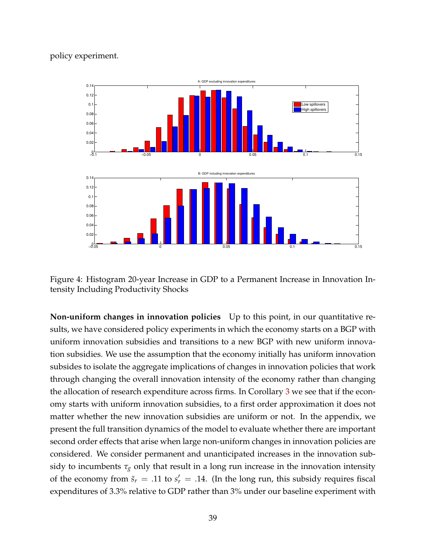#### policy experiment.



<span id="page-38-0"></span>Figure 4: Histogram 20-year Increase in GDP to a Permanent Increase in Innovation Intensity Including Productivity Shocks

**Non-uniform changes in innovation policies** Up to this point, in our quantitative results, we have considered policy experiments in which the economy starts on a BGP with uniform innovation subsidies and transitions to a new BGP with new uniform innovation subsidies. We use the assumption that the economy initially has uniform innovation subsides to isolate the aggregate implications of changes in innovation policies that work through changing the overall innovation intensity of the economy rather than changing the allocation of research expenditure across firms. In Corollary [3](#page-22-0) we see that if the economy starts with uniform innovation subsidies, to a first order approximation it does not matter whether the new innovation subsidies are uniform or not. In the appendix, we present the full transition dynamics of the model to evaluate whether there are important second order effects that arise when large non-uniform changes in innovation policies are considered. We consider permanent and unanticipated increases in the innovation subsidy to incumbents  $\tau_g$  only that result in a long run increase in the innovation intensity of the economy from  $\bar{s}_r = .11$  to  $s'_r = .14$ . (In the long run, this subsidy requires fiscal expenditures of 3.3% relative to GDP rather than 3% under our baseline experiment with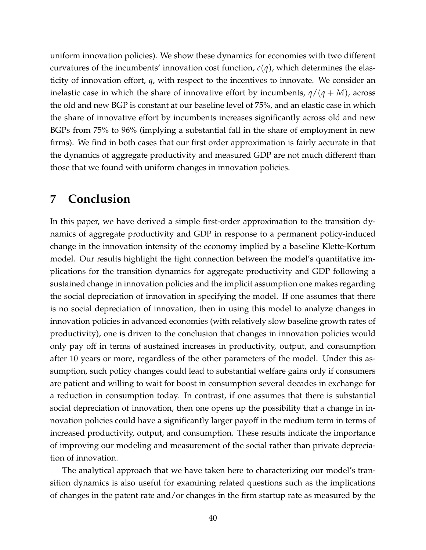uniform innovation policies). We show these dynamics for economies with two different curvatures of the incumbents' innovation cost function,  $c(q)$ , which determines the elasticity of innovation effort, *q*, with respect to the incentives to innovate. We consider an inelastic case in which the share of innovative effort by incumbents,  $q/(q + M)$ , across the old and new BGP is constant at our baseline level of 75%, and an elastic case in which the share of innovative effort by incumbents increases significantly across old and new BGPs from 75% to 96% (implying a substantial fall in the share of employment in new firms). We find in both cases that our first order approximation is fairly accurate in that the dynamics of aggregate productivity and measured GDP are not much different than those that we found with uniform changes in innovation policies.

### <span id="page-39-0"></span>**7 Conclusion**

In this paper, we have derived a simple first-order approximation to the transition dynamics of aggregate productivity and GDP in response to a permanent policy-induced change in the innovation intensity of the economy implied by a baseline Klette-Kortum model. Our results highlight the tight connection between the model's quantitative implications for the transition dynamics for aggregate productivity and GDP following a sustained change in innovation policies and the implicit assumption one makes regarding the social depreciation of innovation in specifying the model. If one assumes that there is no social depreciation of innovation, then in using this model to analyze changes in innovation policies in advanced economies (with relatively slow baseline growth rates of productivity), one is driven to the conclusion that changes in innovation policies would only pay off in terms of sustained increases in productivity, output, and consumption after 10 years or more, regardless of the other parameters of the model. Under this assumption, such policy changes could lead to substantial welfare gains only if consumers are patient and willing to wait for boost in consumption several decades in exchange for a reduction in consumption today. In contrast, if one assumes that there is substantial social depreciation of innovation, then one opens up the possibility that a change in innovation policies could have a significantly larger payoff in the medium term in terms of increased productivity, output, and consumption. These results indicate the importance of improving our modeling and measurement of the social rather than private depreciation of innovation.

The analytical approach that we have taken here to characterizing our model's transition dynamics is also useful for examining related questions such as the implications of changes in the patent rate and/or changes in the firm startup rate as measured by the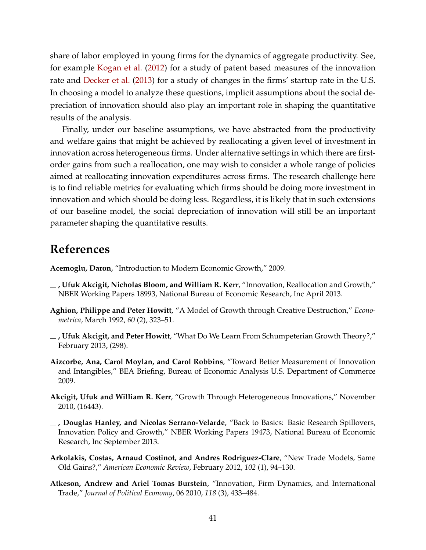share of labor employed in young firms for the dynamics of aggregate productivity. See, for example [Kogan et al.](#page-42-10) [\(2012\)](#page-42-10) for a study of patent based measures of the innovation rate and [Decker et al.](#page-41-16) [\(2013\)](#page-41-16) for a study of changes in the firms' startup rate in the U.S. In choosing a model to analyze these questions, implicit assumptions about the social depreciation of innovation should also play an important role in shaping the quantitative results of the analysis.

Finally, under our baseline assumptions, we have abstracted from the productivity and welfare gains that might be achieved by reallocating a given level of investment in innovation across heterogeneous firms. Under alternative settings in which there are firstorder gains from such a reallocation, one may wish to consider a whole range of policies aimed at reallocating innovation expenditures across firms. The research challenge here is to find reliable metrics for evaluating which firms should be doing more investment in innovation and which should be doing less. Regardless, it is likely that in such extensions of our baseline model, the social depreciation of innovation will still be an important parameter shaping the quantitative results.

## **References**

<span id="page-40-7"></span>**Acemoglu, Daron**, "Introduction to Modern Economic Growth," 2009.

- <span id="page-40-6"></span>**, Ufuk Akcigit, Nicholas Bloom, and William R. Kerr**, "Innovation, Reallocation and Growth," NBER Working Papers 18993, National Bureau of Economic Research, Inc April 2013.
- <span id="page-40-4"></span>**Aghion, Philippe and Peter Howitt**, "A Model of Growth through Creative Destruction," *Econometrica*, March 1992, *60* (2), 323–51.
- <span id="page-40-0"></span>**, Ufuk Akcigit, and Peter Howitt**, "What Do We Learn From Schumpeterian Growth Theory?," February 2013, (298).
- <span id="page-40-3"></span>**Aizcorbe, Ana, Carol Moylan, and Carol Robbins**, "Toward Better Measurement of Innovation and Intangibles," BEA Briefing, Bureau of Economic Analysis U.S. Department of Commerce 2009.
- <span id="page-40-1"></span>**Akcigit, Ufuk and William R. Kerr**, "Growth Through Heterogeneous Innovations," November 2010, (16443).
- <span id="page-40-8"></span>**, Douglas Hanley, and Nicolas Serrano-Velarde**, "Back to Basics: Basic Research Spillovers, Innovation Policy and Growth," NBER Working Papers 19473, National Bureau of Economic Research, Inc September 2013.
- <span id="page-40-5"></span>**Arkolakis, Costas, Arnaud Costinot, and Andres Rodriguez-Clare**, "New Trade Models, Same Old Gains?," *American Economic Review*, February 2012, *102* (1), 94–130.
- <span id="page-40-2"></span>**Atkeson, Andrew and Ariel Tomas Burstein**, "Innovation, Firm Dynamics, and International Trade," *Journal of Political Economy*, 06 2010, *118* (3), 433–484.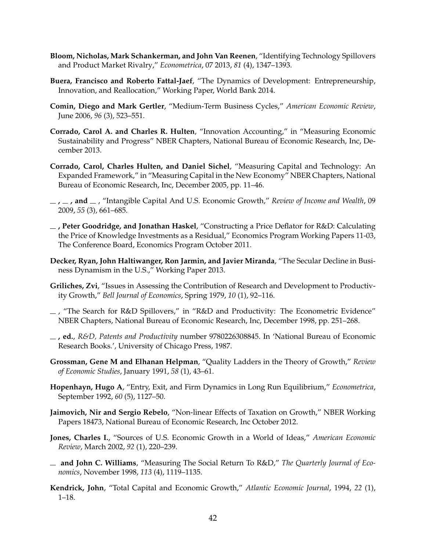- <span id="page-41-14"></span>**Bloom, Nicholas, Mark Schankerman, and John Van Reenen**, "Identifying Technology Spillovers and Product Market Rivalry," *Econometrica*, 07 2013, *81* (4), 1347–1393.
- <span id="page-41-9"></span>**Buera, Francisco and Roberto Fattal-Jaef**, "The Dynamics of Development: Entrepreneurship, Innovation, and Reallocation," Working Paper, World Bank 2014.
- <span id="page-41-6"></span>**Comin, Diego and Mark Gertler**, "Medium-Term Business Cycles," *American Economic Review*, June 2006, *96* (3), 523–551.
- <span id="page-41-5"></span>**Corrado, Carol A. and Charles R. Hulten**, "Innovation Accounting," in "Measuring Economic Sustainability and Progress" NBER Chapters, National Bureau of Economic Research, Inc, December 2013.
- <span id="page-41-0"></span>**Corrado, Carol, Charles Hulten, and Daniel Sichel**, "Measuring Capital and Technology: An Expanded Framework," in "Measuring Capital in the New Economy" NBER Chapters, National Bureau of Economic Research, Inc, December 2005, pp. 11–46.
- <span id="page-41-1"></span> $\mu$ ,  $\mu$ , and  $\mu$ , "Intangible Capital And U.S. Economic Growth," *Review of Income and Wealth*, 09 2009, *55* (3), 661–685.
- <span id="page-41-11"></span>**, Peter Goodridge, and Jonathan Haskel**, "Constructing a Price Deflator for R&D: Calculating the Price of Knowledge Investments as a Residual," Economics Program Working Papers 11-03, The Conference Board, Economics Program October 2011.
- <span id="page-41-16"></span>**Decker, Ryan, John Haltiwanger, Ron Jarmin, and Javier Miranda**, "The Secular Decline in Business Dynamism in the U.S.," Working Paper 2013.
- <span id="page-41-10"></span>**Griliches, Zvi**, "Issues in Assessing the Contribution of Research and Development to Productivity Growth," *Bell Journal of Economics*, Spring 1979, *10* (1), 92–116.
- <span id="page-41-4"></span> $\sim$ , "The Search for R&D Spillovers," in "R&D and Productivity: The Econometric Evidence" NBER Chapters, National Bureau of Economic Research, Inc, December 1998, pp. 251–268.
- <span id="page-41-2"></span>**, ed.**, *R&D, Patents and Productivity* number 9780226308845. In 'National Bureau of Economic Research Books.', University of Chicago Press, 1987.
- <span id="page-41-7"></span>**Grossman, Gene M and Elhanan Helpman**, "Quality Ladders in the Theory of Growth," *Review of Economic Studies*, January 1991, *58* (1), 43–61.
- <span id="page-41-15"></span>**Hopenhayn, Hugo A**, "Entry, Exit, and Firm Dynamics in Long Run Equilibrium," *Econometrica*, September 1992, *60* (5), 1127–50.
- <span id="page-41-12"></span>**Jaimovich, Nir and Sergio Rebelo**, "Non-linear Effects of Taxation on Growth," NBER Working Papers 18473, National Bureau of Economic Research, Inc October 2012.
- <span id="page-41-8"></span>**Jones, Charles I.**, "Sources of U.S. Economic Growth in a World of Ideas," *American Economic Review*, March 2002, *92* (1), 220–239.
- <span id="page-41-13"></span>**and John C. Williams**, "Measuring The Social Return To R&D," *The Quarterly Journal of Economics*, November 1998, *113* (4), 1119–1135.
- <span id="page-41-3"></span>**Kendrick, John**, "Total Capital and Economic Growth," *Atlantic Economic Journal*, 1994, *22* (1), 1–18.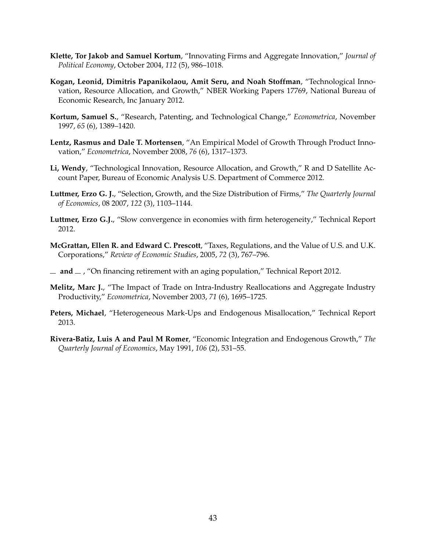- <span id="page-42-0"></span>**Klette, Tor Jakob and Samuel Kortum**, "Innovating Firms and Aggregate Innovation," *Journal of Political Economy*, October 2004, *112* (5), 986–1018.
- <span id="page-42-10"></span>**Kogan, Leonid, Dimitris Papanikolaou, Amit Seru, and Noah Stoffman**, "Technological Innovation, Resource Allocation, and Growth," NBER Working Papers 17769, National Bureau of Economic Research, Inc January 2012.
- <span id="page-42-7"></span>**Kortum, Samuel S.**, "Research, Patenting, and Technological Change," *Econometrica*, November 1997, *65* (6), 1389–1420.
- <span id="page-42-1"></span>**Lentz, Rasmus and Dale T. Mortensen**, "An Empirical Model of Growth Through Product Innovation," *Econometrica*, November 2008, *76* (6), 1317–1373.
- <span id="page-42-4"></span>**Li, Wendy**, "Technological Innovation, Resource Allocation, and Growth," R and D Satellite Account Paper, Bureau of Economic Analysis U.S. Department of Commerce 2012.
- <span id="page-42-3"></span>**Luttmer, Erzo G. J.**, "Selection, Growth, and the Size Distribution of Firms," *The Quarterly Journal of Economics*, 08 2007, *122* (3), 1103–1144.
- <span id="page-42-9"></span>**Luttmer, Erzo G.J.**, "Slow convergence in economies with firm heterogeneity," Technical Report 2012.
- <span id="page-42-11"></span>**McGrattan, Ellen R. and Edward C. Prescott**, "Taxes, Regulations, and the Value of U.S. and U.K. Corporations," *Review of Economic Studies*, 2005, *72* (3), 767–796.
- <span id="page-42-2"></span> $\mu$  and  $\mu$ , "On financing retirement with an aging population," Technical Report 2012.
- <span id="page-42-8"></span>**Melitz, Marc J.**, "The Impact of Trade on Intra-Industry Reallocations and Aggregate Industry Productivity," *Econometrica*, November 2003, *71* (6), 1695–1725.
- <span id="page-42-5"></span>**Peters, Michael**, "Heterogeneous Mark-Ups and Endogenous Misallocation," Technical Report 2013.
- <span id="page-42-6"></span>**Rivera-Batiz, Luis A and Paul M Romer**, "Economic Integration and Endogenous Growth," *The Quarterly Journal of Economics*, May 1991, *106* (2), 531–55.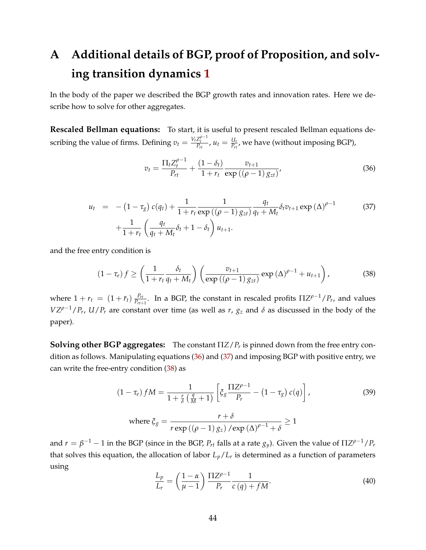# **A Additional details of BGP, proof of Proposition, and solving transition dynamics [1](#page-16-0)**

In the body of the paper we described the BGP growth rates and innovation rates. Here we describe how to solve for other aggregates.

**Rescaled Bellman equations:** To start, it is useful to present rescaled Bellman equations describing the value of firms. Defining  $v_t = \frac{V_t Z_t^{\rho-1}}{P_{rt}}$ ,  $u_t = \frac{U_t}{P_{rt}}$  $\frac{a_t}{P_{rt}}$ , we have (without imposing BGP),

<span id="page-43-0"></span>
$$
v_{t} = \frac{\Pi_{t} Z_{t}^{\rho - 1}}{P_{rt}} + \frac{(1 - \delta_{t})}{1 + r_{t}} \frac{v_{t+1}}{\exp((\rho - 1) g_{zt})},
$$
\n(36)

<span id="page-43-1"></span>
$$
u_{t} = -(1 - \tau_{g}) c(q_{t}) + \frac{1}{1 + r_{t}} \frac{1}{\exp((\rho - 1) g_{zt})} \frac{q_{t}}{q_{t} + M_{t}} \delta_{t} v_{t+1} \exp(\Delta)^{\rho - 1}
$$
(37)  
+ 
$$
\frac{1}{1 + r_{t}} \left(\frac{q_{t}}{q_{t} + M_{t}} \delta_{t} + 1 - \delta_{t}\right) u_{t+1}.
$$

and the free entry condition is

<span id="page-43-2"></span>
$$
(1 - \tau_e) f \ge \left(\frac{1}{1 + r_t} \frac{\delta_t}{q_t + M_t}\right) \left(\frac{v_{t+1}}{\exp\left((\rho - 1) g_{zt}\right)} \exp\left(\Delta\right)^{\rho - 1} + u_{t+1}\right),\tag{38}
$$

where  $1 + r_t = (1 + \bar{r}_t) \frac{P_{rt}}{P_{rt}}$  $\frac{P_{rt}}{P_{rt+1}}$ . In a BGP, the constant in rescaled profits  $\Pi Z^{\rho-1}/P_r$ , and values  $VZ^{\rho-1}/P_r$ ,  $U/P_r$  are constant over time (as well as *r*,  $g_z$  and  $\delta$  as discussed in the body of the paper).

**Solving other BGP aggregates:** The constant Π*Z*/*P<sup>r</sup>* is pinned down from the free entry condition as follows. Manipulating equations [\(36\)](#page-43-0) and [\(37\)](#page-43-1) and imposing BGP with positive entry, we can write the free-entry condition [\(38\)](#page-43-2) as

<span id="page-43-3"></span>
$$
(1 - \tau_e) fM = \frac{1}{1 + \frac{r}{\delta} \left(\frac{q}{M} + 1\right)} \left[ \xi_g \frac{\Pi Z^{\rho - 1}}{P_r} - (1 - \tau_g) c(q) \right],
$$
\n
$$
\text{where } \xi_g = \frac{r + \delta}{r \exp\left((\rho - 1) g_z\right) / \exp\left(\Delta\right)^{\rho - 1} + \delta} \ge 1
$$
\n
$$
(39)
$$

and  $r = \beta^{-1} - 1$  in the BGP (since in the BGP,  $P_{rt}$  falls at a rate  $g_y$ ). Given the value of  $\Pi Z^{\rho-1}/P_r$ that solves this equation, the allocation of labor *Lp*/*L<sup>r</sup>* is determined as a function of parameters using

<span id="page-43-4"></span>
$$
\frac{L_p}{L_r} = \left(\frac{1-\alpha}{\mu-1}\right) \frac{\Pi Z^{\rho-1}}{P_r} \frac{1}{c(q) + fM}.
$$
\n(40)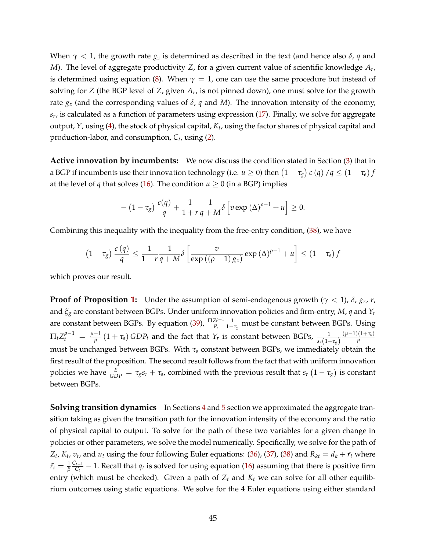When  $\gamma$  < 1, the growth rate  $g_z$  is determined as described in the text (and hence also  $\delta$ , *q* and *M*). The level of aggregate productivity *Z*, for a given current value of scientific knowledge *A<sup>r</sup>* , is determined using equation [\(8\)](#page-7-1). When  $\gamma = 1$ , one can use the same procedure but instead of solving for *Z* (the BGP level of *Z*, given *A<sup>r</sup>* , is not pinned down), one must solve for the growth rate  $g_z$  (and the corresponding values of  $\delta$ ,  $q$  and  $M$ ). The innovation intensity of the economy, *sr* , is calculated as a function of parameters using expression [\(17\)](#page-13-2). Finally, we solve for aggregate output, *Y*, using [\(4\)](#page-5-1), the stock of physical capital, *K<sup>t</sup>* , using the factor shares of physical capital and production-labor, and consumption, *C<sup>t</sup>* , using [\(2\)](#page-5-2).

**Active innovation by incumbents:** We now discuss the condition stated in Section [\(3\)](#page-13-0) that in a BGP if incumbents use their innovation technology (i.e.  $u\geq 0$ ) then  $\left(1-\tau_g\right)c\left(q\right)/q\leq \left(1-\tau_e\right)f$ at the level of *q* that solves [\(16\)](#page-12-1). The condition  $u \ge 0$  (in a BGP) implies

$$
-\left(1-\tau_g\right)\frac{c(q)}{q}+\frac{1}{1+r}\frac{1}{q+M}\delta\left[v\exp\left(\Delta\right)^{\rho-1}+u\right]\geq 0.
$$

Combining this inequality with the inequality from the free-entry condition, [\(38\)](#page-43-2), we have

$$
(1-\tau_g)\frac{c(q)}{q} \le \frac{1}{1+r}\frac{1}{q+M}\delta\left[\frac{v}{\exp((\rho-1)g_z)}\exp((\Delta)^{\rho-1}+u\right] \le (1-\tau_e)f
$$

which proves our result.

**Proof of Proposition [1:](#page-16-0)** Under the assumption of semi-endogenous growth ( $\gamma$  < 1),  $\delta$ ,  $g_z$ ,  $r$ , and *ξ<sup>g</sup>* are constant between BGPs. Under uniform innovation policies and firm-entry, *M*, *q* and *Y<sup>r</sup>* **are constant between BGPs. By equation [\(39\)](#page-43-3),**  $\frac{\Pi Z^{p-1}}{P_1}$ *Pr* 1 1−*τ<sup>g</sup>* must be constant between BGPs. Using  $\Pi_t Z_t^{\rho-1} = \frac{\mu-1}{\mu}$  $\frac{1}{\mu}$  (1 + *τ*<sub>*s*</sub>) *GDPt* and the fact that *Y*<sub>*r*</sub> is constant between BGPs,  $\frac{1}{s_r(1-\tau_s)}$  $(\mu-1)(1+\tau_s)$ *µ* must be unchanged between BGPs. With *τ<sup>s</sup>* constant between BGPs, we immediately obtain the first result of the proposition. The second result follows from the fact that with uniform innovation policies we have  $\frac{E}{GDP} = \tau_g s_r + \tau_s$ , combined with the previous result that  $s_r(1-\tau_g)$  is constant between BGPs.

**Solving transition dynamics** In Sections [4](#page-15-0) and [5](#page-25-0) section we approximated the aggregate transition taking as given the transition path for the innovation intensity of the economy and the ratio of physical capital to output. To solve for the path of these two variables for a given change in policies or other parameters, we solve the model numerically. Specifically, we solve for the path of  $Z_t$ ,  $K_t$ ,  $v_t$ , and  $u_t$  using the four following Euler equations: [\(36\)](#page-43-0), [\(37\)](#page-43-1), [\(38\)](#page-43-2) and  $R_{kt} = d_k + \bar{r}_t$  where  $\bar{r_t} = \frac{1}{\beta}$  $C_{t+1}$  $\frac{t+1}{C_t}$  − 1. Recall that  $q_t$  is solved for using equation [\(16\)](#page-12-1) assuming that there is positive firm entry (which must be checked). Given a path of  $Z_t$  and  $K_t$  we can solve for all other equilibrium outcomes using static equations. We solve for the 4 Euler equations using either standard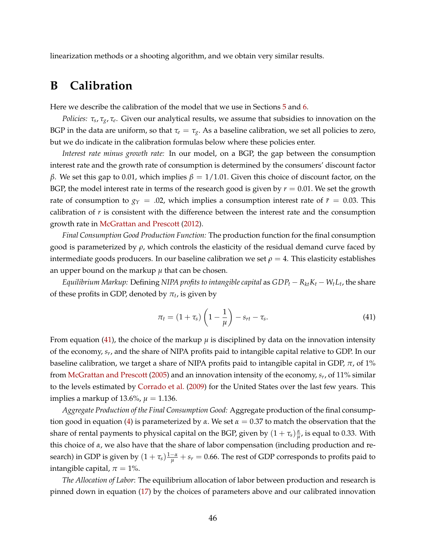linearization methods or a shooting algorithm, and we obtain very similar results.

### **B Calibration**

Here we describe the calibration of the model that we use in Sections [5](#page-25-0) and [6.](#page-33-0)

*Policies: τ<sup>s</sup>* , *τg*, *τ<sup>e</sup>* . Given our analytical results, we assume that subsidies to innovation on the BGP in the data are uniform, so that  $\tau_e = \tau_g$ . As a baseline calibration, we set all policies to zero, but we do indicate in the calibration formulas below where these policies enter.

*Interest rate minus growth rate:* In our model, on a BGP, the gap between the consumption interest rate and the growth rate of consumption is determined by the consumers' discount factor *β*. We set this gap to 0.01, which implies  $β = 1/1.01$ . Given this choice of discount factor, on the BGP, the model interest rate in terms of the research good is given by *r* = 0.01. We set the growth rate of consumption to  $g_Y = 0.02$ , which implies a consumption interest rate of  $\bar{r} = 0.03$ . This calibration of *r* is consistent with the difference between the interest rate and the consumption growth rate in [McGrattan and Prescott](#page-42-2) [\(2012\)](#page-42-2).

*Final Consumption Good Production Function:* The production function for the final consumption good is parameterized by *ρ*, which controls the elasticity of the residual demand curve faced by intermediate goods producers. In our baseline calibration we set  $\rho = 4$ . This elasticity establishes an upper bound on the markup  $\mu$  that can be chosen.

*Equilibrium Markup*: Defining *NIPA profits to intangible capital* as  $GDP_t - R_{kt}K_t - W_tL_t$ , the share of these profits in GDP, denoted by  $\pi_t$ , is given by

<span id="page-45-0"></span>
$$
\pi_t = (1 + \tau_s) \left(1 - \frac{1}{\mu}\right) - s_{rt} - \tau_s. \tag{41}
$$

From equation [\(41\)](#page-45-0), the choice of the markup  $\mu$  is disciplined by data on the innovation intensity of the economy, *s<sup>r</sup>* , and the share of NIPA profits paid to intangible capital relative to GDP. In our baseline calibration, we target a share of NIPA profits paid to intangible capital in GDP,  $\pi$ , of 1% from [McGrattan and Prescott](#page-42-11) [\(2005\)](#page-42-11) and an innovation intensity of the economy, *s<sup>r</sup>* , of 11% similar to the levels estimated by [Corrado et al.](#page-41-1) [\(2009\)](#page-41-1) for the United States over the last few years. This implies a markup of 13.6%,  $\mu = 1.136$ .

*Aggregate Production of the Final Consumption Good:* Aggregate production of the final consump-tion good in equation [\(4\)](#page-5-1) is parameterized by  $\alpha$ . We set  $\alpha = 0.37$  to match the observation that the share of rental payments to physical capital on the BGP, given by  $(1 + \tau_s) \frac{\alpha}{u}$  $\frac{\alpha}{\mu}$ , is equal to 0.33. With this choice of *α*, we also have that the share of labor compensation (including production and research) in GDP is given by  $(1 + \tau_s) \frac{1-\alpha}{\mu} + s_r = 0.66$ . The rest of GDP corresponds to profits paid to intangible capital,  $\pi = 1\%$ .

*The Allocation of Labor*: The equilibrium allocation of labor between production and research is pinned down in equation [\(17\)](#page-13-2) by the choices of parameters above and our calibrated innovation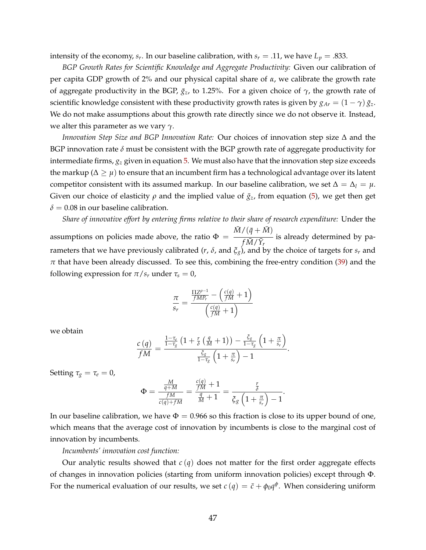intensity of the economy,  $s_r$ . In our baseline calibration, with  $s_r = .11$ , we have  $L_p = .833$ .

*BGP Growth Rates for Scientific Knowledge and Aggregate Productivity:* Given our calibration of per capita GDP growth of 2% and our physical capital share of *α*, we calibrate the growth rate of aggregate productivity in the BGP,  $\bar{g}_z$ , to 1.25%. For a given choice of  $\gamma$ , the growth rate of scientific knowledge consistent with these productivity growth rates is given by  $g_{Ar} = (1 - \gamma) \bar{g}_z$ . We do not make assumptions about this growth rate directly since we do not observe it. Instead, we alter this parameter as we vary *γ*.

*Innovation Step Size and BGP Innovation Rate:* Our choices of innovation step size ∆ and the BGP innovation rate  $\delta$  must be consistent with the BGP growth rate of aggregate productivity for intermediate firms, *g<sup>z</sup>* given in equation [5.](#page-6-1) We must also have that the innovation step size exceeds the markup ( $\Delta \geq \mu$ ) to ensure that an incumbent firm has a technological advantage over its latent competitor consistent with its assumed markup. In our baseline calibration, we set  $\Delta = \Delta_l = \mu$ . Given our choice of elasticity  $\rho$  and the implied value of  $\bar{g}_z$ , from equation [\(5\)](#page-6-1), we get then get  $\delta$  = 0.08 in our baseline calibration.

*Share of innovative effort by entering firms relative to their share of research expenditure:* Under the assumptions on policies made above, the ratio  $\Phi =$  $\bar{M}/(\bar{q}+\bar{M})$  $\overline{f\bar{M}/\bar{Y}_r}$ is already determined by parameters that we have previously calibrated ( $r$ ,  $\delta$ , and  $\xi_g$ ), and by the choice of targets for  $s_r$  and *π* that have been already discussed. To see this, combining the free-entry condition [\(39\)](#page-43-3) and the following expression for  $\pi/s_r$  under  $\tau_s = 0$ ,

$$
\frac{\pi}{s_r} = \frac{\frac{\Pi Z^{\rho-1}}{fMP_r} - \left(\frac{c(q)}{fM} + 1\right)}{\left(\frac{c(q)}{fM} + 1\right)}
$$

we obtain

$$
\frac{c\left(q\right)}{fM}=\frac{\frac{1-\tau_{e}}{1-\tau_{g}}\left(1+\frac{r}{\delta}\left(\frac{q}{M}+1\right)\right)-\frac{\tilde{\zeta}_{g}}{1-\tau_{g}}\left(1+\frac{\pi}{s_{r}}\right)}{\frac{\tilde{\zeta}_{g}}{1-\tau_{g}}\left(1+\frac{\pi}{s_{r}}\right)-1}.
$$

Setting  $\tau_g = \tau_e = 0$ ,

$$
\Phi = \frac{\frac{M}{q+M}}{\frac{fM}{c(q)+fM}} = \frac{\frac{c(q)}{fM}+1}{\frac{q}{M}+1} = \frac{\frac{r}{\delta}}{\xi_g\left(1+\frac{\pi}{s_r}\right)-1}.
$$

In our baseline calibration, we have  $\Phi = 0.966$  so this fraction is close to its upper bound of one, which means that the average cost of innovation by incumbents is close to the marginal cost of innovation by incumbents.

#### *Incumbents' innovation cost function:*

Our analytic results showed that  $c(q)$  does not matter for the first order aggregate effects of changes in innovation policies (starting from uniform innovation policies) except through Φ. For the numerical evaluation of our results, we set  $c$   $(q) = \bar{c} + \phi_0 q^{\phi}$ . When considering uniform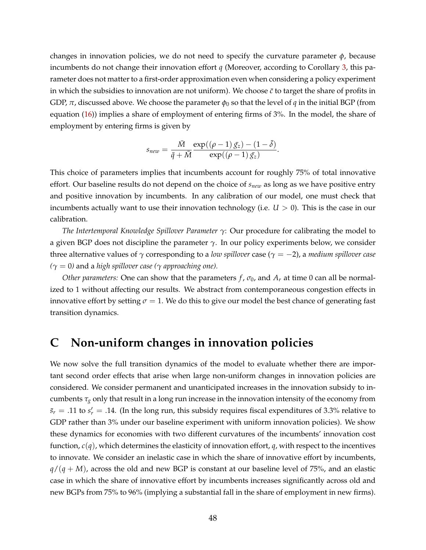changes in innovation policies, we do not need to specify the curvature parameter *φ*, because incumbents do not change their innovation effort *q* (Moreover, according to Corollary [3,](#page-22-0) this parameter does not matter to a first-order approximation even when considering a policy experiment in which the subsidies to innovation are not uniform). We choose  $\bar{c}$  to target the share of profits in GDP,  $\pi$ , discussed above. We choose the parameter  $\phi_0$  so that the level of *q* in the initial BGP (from equation [\(16\)](#page-12-1)) implies a share of employment of entering firms of 3%. In the model, the share of employment by entering firms is given by

$$
s_{new} = \frac{\overline{M}}{\overline{q} + \overline{M}} \frac{\exp((\rho - 1) \overline{g}_z) - (1 - \overline{\delta})}{\exp((\rho - 1) \overline{g}_z)}.
$$

This choice of parameters implies that incumbents account for roughly 75% of total innovative effort. Our baseline results do not depend on the choice of *snew* as long as we have positive entry and positive innovation by incumbents. In any calibration of our model, one must check that incumbents actually want to use their innovation technology (i.e.  $U > 0$ ). This is the case in our calibration.

*The Intertemporal Knowledge Spillover Parameter γ*: Our procedure for calibrating the model to a given BGP does not discipline the parameter  $\gamma$ . In our policy experiments below, we consider three alternative values of *γ* corresponding to a *low spillover* case (*γ* = −2), a *medium spillover case*  $(\gamma = 0)$  and a *high spillover case* ( $\gamma$  *approaching one).* 

*Other parameters:* One can show that the parameters  $f$ ,  $\sigma_0$ , and  $A_r$  at time 0 can all be normalized to 1 without affecting our results. We abstract from contemporaneous congestion effects in innovative effort by setting  $\sigma = 1$ . We do this to give our model the best chance of generating fast transition dynamics.

## **C Non-uniform changes in innovation policies**

We now solve the full transition dynamics of the model to evaluate whether there are important second order effects that arise when large non-uniform changes in innovation policies are considered. We consider permanent and unanticipated increases in the innovation subsidy to incumbents  $\tau_g$  only that result in a long run increase in the innovation intensity of the economy from  $\bar{s}_r = .11$  to  $s'_r = .14$ . (In the long run, this subsidy requires fiscal expenditures of 3.3% relative to GDP rather than 3% under our baseline experiment with uniform innovation policies). We show these dynamics for economies with two different curvatures of the incumbents' innovation cost function, *c*(*q*), which determines the elasticity of innovation effort, *q*, with respect to the incentives to innovate. We consider an inelastic case in which the share of innovative effort by incumbents,  $q/(q + M)$ , across the old and new BGP is constant at our baseline level of 75%, and an elastic case in which the share of innovative effort by incumbents increases significantly across old and new BGPs from 75% to 96% (implying a substantial fall in the share of employment in new firms).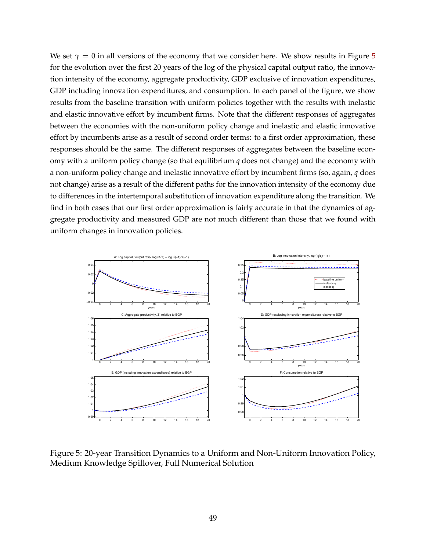We set  $\gamma = 0$  in all versions of the economy that we consider here. We show results in Figure [5](#page-48-0) for the evolution over the first 20 years of the log of the physical capital output ratio, the innovation intensity of the economy, aggregate productivity, GDP exclusive of innovation expenditures, GDP including innovation expenditures, and consumption. In each panel of the figure, we show results from the baseline transition with uniform policies together with the results with inelastic and elastic innovative effort by incumbent firms. Note that the different responses of aggregates between the economies with the non-uniform policy change and inelastic and elastic innovative effort by incumbents arise as a result of second order terms: to a first order approximation, these responses should be the same. The different responses of aggregates between the baseline economy with a uniform policy change (so that equilibrium *q* does not change) and the economy with a non-uniform policy change and inelastic innovative effort by incumbent firms (so, again, *q* does not change) arise as a result of the different paths for the innovation intensity of the economy due to differences in the intertemporal substitution of innovation expenditure along the transition. We find in both cases that our first order approximation is fairly accurate in that the dynamics of aggregate productivity and measured GDP are not much different than those that we found with uniform changes in innovation policies.



<span id="page-48-0"></span>Figure 5: 20-year Transition Dynamics to a Uniform and Non-Uniform Innovation Policy, Medium Knowledge Spillover, Full Numerical Solution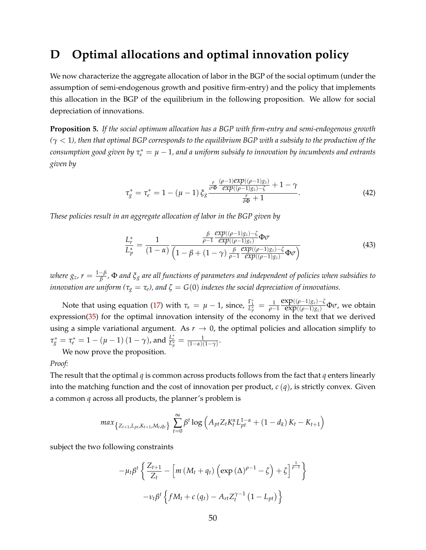### **D Optimal allocations and optimal innovation policy**

We now characterize the aggregate allocation of labor in the BGP of the social optimum (under the assumption of semi-endogenous growth and positive firm-entry) and the policy that implements this allocation in the BGP of the equilibrium in the following proposition. We allow for social depreciation of innovations.

**Proposition 5.** *If the social optimum allocation has a BGP with firm-entry and semi-endogenous growth (γ* < 1*), then that optimal BGP corresponds to the equilibrium BGP with a subsidy to the production of the*  $\epsilon$ onsumption good given by  $\tau_{s}^{*}=\mu-1$ , and a uniform subsidy to innovation by incumbents and entrants *given by*

$$
\tau_g^* = \tau_e^* = 1 - (\mu - 1) \, \xi_g \frac{\frac{r}{\sigma \Phi} \frac{(\rho - 1) \exp((\rho - 1) g_z)}{\exp((\rho - 1) g_z) - \zeta} + 1 - \gamma}{\frac{r}{\delta \Phi} + 1}.
$$
\n(42)

*These policies result in an aggregate allocation of labor in the BGP given by*

<span id="page-49-0"></span>
$$
\frac{L_{r}^{*}}{L_{p}^{*}} = \frac{1}{(1-\alpha)} \frac{\frac{\beta}{\rho-1} \frac{\exp((\rho-1)g_{z}) - \zeta}{\exp((\rho-1)g_{z})} \Phi \sigma}{\left(1-\beta + (1-\gamma) \frac{\beta}{\rho-1} \frac{\exp((\rho-1)g_{z}) - \zeta}{\exp((\rho-1)g_{z})} \Phi \sigma\right)}
$$
(43)

*where*  $g_z$ *, r* =  $\frac{1-\beta}{\beta}$ *β ,* Φ *and ξ<sup>g</sup> are all functions of parameters and independent of policies when subsidies to innovation are uniform* ( $\tau_g = \tau_e$ ), and  $\zeta = G(0)$  *indexes the social depreciation of innovations.* 

Note that using equation [\(17\)](#page-13-2) with  $\tau_s = \mu - 1$ , since,  $\frac{\Gamma_1^*}{L_p^*} = \frac{1}{\rho - 1}$  $\frac{\exp((\rho-1)g_z)-\zeta}{\exp((\rho-1)g_z)}\Phi\sigma$ , we obtain expression[\(35\)](#page-21-1) for the optimal innovation intensity of the economy in the text that we derived using a simple variational argument. As  $r \to 0$ , the optimal policies and allocation simplify to  $\tau_g^* = \tau_e^* = 1 - (\mu - 1)(1 - \gamma)$ , and  $\frac{L_r^*}{L_p^*} = \frac{1}{(1 - \alpha)(1 - \gamma)}$ .

We now prove the proposition.

#### *Proof:*

The result that the optimal *q* is common across products follows from the fact that *q* enters linearly into the matching function and the cost of innovation per product, *c* (*q*), is strictly convex. Given a common *q* across all products, the planner's problem is

$$
max_{\{Z_{t+1}, L_{pt}, K_{t+1}, M_t, q_t\}} \sum_{t=0}^{\infty} \beta^t \log \left( A_{pt} Z_t K_t^{\alpha} L_{pt}^{1-\alpha} + (1 - d_k) K_t - K_{t+1} \right)
$$

subject the two following constraints

$$
-\mu_t \beta^t \left\{ \frac{Z_{t+1}}{Z_t} - \left[ m \left( M_t + q_t \right) \left( \exp \left( \Delta \right)^{\rho - 1} - \zeta \right) + \zeta \right]^{\frac{1}{\rho - 1}} \right\}
$$

$$
-\nu_t \beta^t \left\{ f M_t + c \left( q_t \right) - A_{rt} Z_t^{\gamma - 1} \left( 1 - L_{pt} \right) \right\}
$$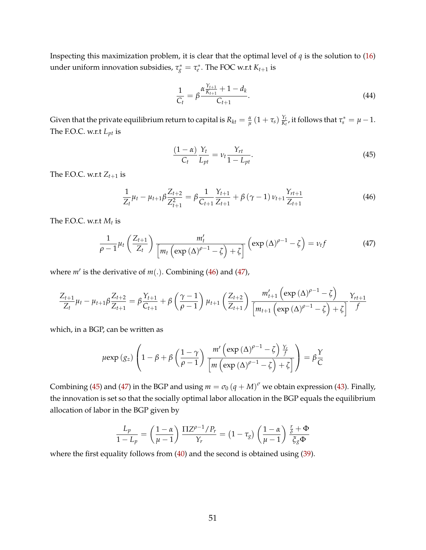Inspecting this maximization problem, it is clear that the optimal level of *q* is the solution to [\(16\)](#page-12-1) under uniform innovation subsidies,  $\tau_g^* = \tau_e^*$ . The FOC w.r.t  $K_{t+1}$  is

$$
\frac{1}{C_t} = \beta \frac{\alpha \frac{Y_{t+1}}{K_{t+1}} + 1 - d_k}{C_{t+1}}.
$$
\n(44)

Given that the private equilibrium return to capital is  $R_{kt} = \frac{\alpha}{\mu} \left(1 + \tau_s\right) \frac{Y_t}{K_t}$  $\frac{Y_t}{K_t}$ , it follows that  $\tau_s^* = \mu - 1$ . The F.O.C. w.r.t *Lpt* is

<span id="page-50-2"></span>
$$
\frac{(1-\alpha)}{C_t} \frac{Y_t}{L_{pt}} = \nu_t \frac{Y_{rt}}{1-L_{pt}}.
$$
\n(45)

The F.O.C. w.r.t  $Z_{t+1}$  is

<span id="page-50-0"></span>
$$
\frac{1}{Z_t}\mu_t - \mu_{t+1}\beta \frac{Z_{t+2}}{Z_{t+1}^2} = \beta \frac{1}{C_{t+1}} \frac{Y_{t+1}}{Z_{t+1}} + \beta (\gamma - 1) \nu_{t+1} \frac{Y_{t+1}}{Z_{t+1}}
$$
(46)

The F.O.C. w.r.t *M<sup>t</sup>* is

<span id="page-50-1"></span>
$$
\frac{1}{\rho-1}\mu_t\left(\frac{Z_{t+1}}{Z_t}\right)\frac{m'_t}{\left[m_t\left(\exp\left(\Delta\right)^{\rho-1}-\zeta\right)+\zeta\right]}\left(\exp\left(\Delta\right)^{\rho-1}-\zeta\right)=\nu_t f\tag{47}
$$

where  $m'$  is the derivative of  $m(.)$ . Combining [\(46\)](#page-50-0) and [\(47\)](#page-50-1),

$$
\frac{Z_{t+1}}{Z_t} \mu_t - \mu_{t+1} \beta \frac{Z_{t+2}}{Z_{t+1}} = \beta \frac{Y_{t+1}}{C_{t+1}} + \beta \left(\frac{\gamma - 1}{\rho - 1}\right) \mu_{t+1} \left(\frac{Z_{t+2}}{Z_{t+1}}\right) \frac{m'_{t+1} \left(\exp\left(\Delta\right)^{\rho - 1} - \zeta\right)}{\left[m_{t+1} \left(\exp\left(\Delta\right)^{\rho - 1} - \zeta\right) + \zeta\right]} \frac{Y_{t+1}}{f}
$$

which, in a BGP, can be written as

$$
\mu \exp\left(g_z\right) \left(1 - \beta + \beta \left(\frac{1-\gamma}{\rho-1}\right) \frac{m'\left(\exp\left(\Delta\right)^{\rho-1} - \zeta\right) \frac{Y_r}{f}}{\left[m\left(\exp\left(\Delta\right)^{\rho-1} - \zeta\right) + \zeta\right]}\right) = \beta \frac{Y}{C}
$$

Combining [\(45\)](#page-50-2) and [\(47\)](#page-50-1) in the BGP and using  $m=\sigma_0\left(q+M\right)^\sigma$  we obtain expression [\(43\)](#page-49-0). Finally, the innovation is set so that the socially optimal labor allocation in the BGP equals the equilibrium allocation of labor in the BGP given by

$$
\frac{L_p}{1-L_p} = \left(\frac{1-\alpha}{\mu-1}\right) \frac{\Pi Z^{\rho-1}/P_r}{Y_r} = \left(1-\tau_g\right) \left(\frac{1-\alpha}{\mu-1}\right) \frac{\frac{r}{\delta}+\Phi}{\xi_g \Phi}
$$

where the first equality follows from [\(40\)](#page-43-4) and the second is obtained using [\(39\)](#page-43-3).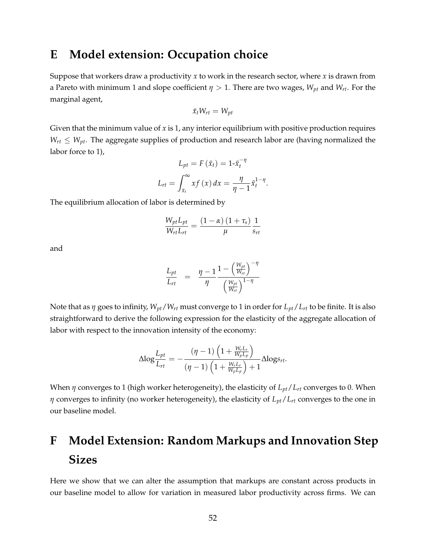## **E Model extension: Occupation choice**

Suppose that workers draw a productivity *x* to work in the research sector, where *x* is drawn from a Pareto with minimum 1 and slope coefficient  $\eta > 1$ . There are two wages,  $W_{pt}$  and  $W_{rt}$ . For the marginal agent,

$$
\bar{x}_t W_{rt} = W_{pt}
$$

Given that the minimum value of *x* is 1, any interior equilibrium with positive production requires  $W_{rt} \leq W_{pt}$ . The aggregate supplies of production and research labor are (having normalized the labor force to 1),

$$
L_{pt} = F(\bar{x}_t) = 1 - \bar{x}_t^{-\eta}
$$

$$
L_{rt} = \int_{\bar{x}_t}^{\infty} x f(x) dx = \frac{\eta}{\eta - 1} \bar{x}_t^{1 - \eta}
$$

.

The equilibrium allocation of labor is determined by

$$
\frac{W_{pt}L_{pt}}{W_{rt}L_{rt}} = \frac{\left(1-\alpha\right)\left(1+\tau_s\right)}{\mu} \frac{1}{s_{rt}}
$$

and

$$
\frac{L_{pt}}{L_{rt}} = \frac{\eta - 1}{\eta} \frac{1 - \left(\frac{W_{pt}}{W_{rt}}\right)^{-\eta}}{\left(\frac{W_{pt}}{W_{rt}}\right)^{1-\eta}}
$$

Note that as *η* goes to infinity, *Wpt*/*Wrt* must converge to 1 in order for *Lpt*/*Lrt* to be finite. It is also straightforward to derive the following expression for the elasticity of the aggregate allocation of labor with respect to the innovation intensity of the economy:

$$
\Delta \text{log} \frac{L_{pt}}{L_{rt}} = -\frac{\left(\eta - 1\right)\left(1 + \frac{W_r L_r}{W_p L_p}\right)}{\left(\eta - 1\right)\left(1 + \frac{W_r L_r}{W_p L_p}\right) + 1}\Delta \text{log} s_{rt}.
$$

When *η* converges to 1 (high worker heterogeneity), the elasticity of *Lpt*/*Lrt* converges to 0. When *η* converges to infinity (no worker heterogeneity), the elasticity of *Lpt*/*Lrt* converges to the one in our baseline model.

# **F Model Extension: Random Markups and Innovation Step Sizes**

Here we show that we can alter the assumption that markups are constant across products in our baseline model to allow for variation in measured labor productivity across firms. We can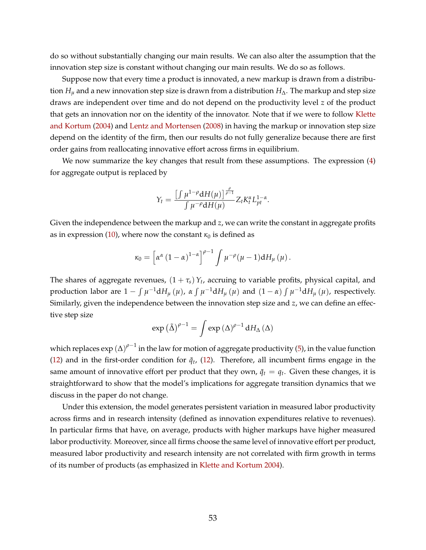do so without substantially changing our main results. We can also alter the assumption that the innovation step size is constant without changing our main results. We do so as follows.

Suppose now that every time a product is innovated, a new markup is drawn from a distribution  $H<sub>µ</sub>$  and a new innovation step size is drawn from a distribution  $H<sub>∆</sub>$ . The markup and step size draws are independent over time and do not depend on the productivity level *z* of the product that gets an innovation nor on the identity of the innovator. Note that if we were to follow [Klette](#page-42-0) [and Kortum](#page-42-0) [\(2004\)](#page-42-0) and [Lentz and Mortensen](#page-42-1) [\(2008\)](#page-42-1) in having the markup or innovation step size depend on the identity of the firm, then our results do not fully generalize because there are first order gains from reallocating innovative effort across firms in equilibrium.

We now summarize the key changes that result from these assumptions. The expression  $(4)$ for aggregate output is replaced by

$$
Y_t = \frac{\left[\int \mu^{1-\rho} dH(\mu)\right]^{\frac{\rho}{\rho-1}}}{\int \mu^{-\rho} dH(\mu)} Z_t K_t^{\alpha} L_{pt}^{1-\alpha}.
$$

Given the independence between the markup and *z*, we can write the constant in aggregate profits as in expression [\(10\)](#page-9-0), where now the constant  $\kappa_0$  is defined as

$$
\kappa_0 = \left[\alpha^{\alpha} (1-\alpha)^{1-\alpha}\right]^{\rho-1} \int \mu^{-\rho} (\mu-1) dH_{\mu}(\mu).
$$

The shares of aggregate revenues,  $(1 + \tau_s) Y_t$ , accruing to variable profits, physical capital, and production labor are  $1 - \int \mu^{-1} dH_{\mu}(\mu)$ ,  $\alpha \int \mu^{-1} dH_{\mu}(\mu)$  and  $(1 - \alpha) \int \mu^{-1} dH_{\mu}(\mu)$ , respectively. Similarly, given the independence between the innovation step size and *z*, we can define an effective step size

$$
\exp\left(\tilde{\Delta}\right)^{\rho-1} = \int \exp\left(\Delta\right)^{\rho-1} dH_{\Delta}\left(\Delta\right)
$$

which replaces exp (Δ)<sup>ρ−1</sup> in the law for motion of aggregate productivity [\(5\)](#page-6-1), in the value function [\(12\)](#page-10-0) and in the first-order condition for  $\tilde{q}_t$ , (12). Therefore, all incumbent firms engage in the same amount of innovative effort per product that they own,  $\tilde{q}_t = q_t$ . Given these changes, it is straightforward to show that the model's implications for aggregate transition dynamics that we discuss in the paper do not change.

Under this extension, the model generates persistent variation in measured labor productivity across firms and in research intensity (defined as innovation expenditures relative to revenues). In particular firms that have, on average, products with higher markups have higher measured labor productivity. Moreover, since all firms choose the same level of innovative effort per product, measured labor productivity and research intensity are not correlated with firm growth in terms of its number of products (as emphasized in [Klette and Kortum](#page-42-0) [2004\)](#page-42-0).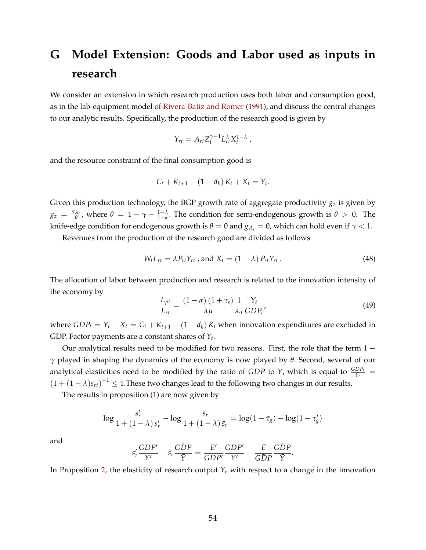# **G Model Extension: Goods and Labor used as inputs in research**

We consider an extension in which research production uses both labor and consumption good, as in the lab-equipment model of [Rivera-Batiz and Romer](#page-42-6) [\(1991\)](#page-42-6), and discuss the central changes to our analytic results. Specifically, the production of the research good is given by

$$
Y_{rt} = A_{rt} Z_t^{\gamma - 1} L_{rt}^{\lambda} X_t^{1 - \lambda} ,
$$

and the resource constraint of the final consumption good is

$$
C_t + K_{t+1} - (1 - d_k) K_t + X_t = Y_t.
$$

Given this production technology, the BGP growth rate of aggregate productivity *g<sup>z</sup>* is given by  $g_z = \frac{g_{A_r}}{\theta}$ *θ*<sub> $\frac{A_r}{\theta}$ , where  $\theta = 1 - \gamma - \frac{1-\lambda}{1-\alpha}$ . The condition for semi-endogenous growth is  $\theta > 0$ . The</sub> knife-edge condition for endogenous growth is  $\theta = 0$  and  $g_{A_r} = 0$ , which can hold even if  $\gamma < 1$ .

Revenues from the production of the research good are divided as follows

$$
W_t L_{rt} = \lambda P_{rt} Y_{rt}
$$
, and  $X_t = (1 - \lambda) P_{rt} Y_{rt}$ . (48)

The allocation of labor between production and research is related to the innovation intensity of the economy by

$$
\frac{L_{pt}}{L_{rt}} = \frac{(1 - \alpha)(1 + \tau_s)}{\lambda \mu} \frac{1}{s_{rt}} \frac{Y_t}{GDP_t'},
$$
\n(49)

.

where  $GDP_t = Y_t - X_t = C_t + K_{t+1} - (1 - d_k) K_t$  when innovation expenditures are excluded in GDP. Factor payments are a constant shares of *Y<sup>t</sup>* .

Our analytical results need to be modified for two reasons. First, the role that the term  $1$ *γ* played in shaping the dynamics of the economy is now played by *θ*. Second, several of our analytical elasticities need to be modified by the ratio of *GDP* to *Y*, which is equal to  $\frac{GDP_t}{Y_t}$  =  $(1 + (1 - \lambda)s_{rt})^{-1} \leq 1$ . These two changes lead to the following two changes in our results.

The results in proposition [\(1\)](#page-16-0) are now given by

$$
\log \frac{s'_r}{1+\left(1-\lambda\right)s'_r}-\log \frac{\bar{s}_r}{1+\left(1-\lambda\right)\bar{s}_r}=\log (1-\bar{\tau}_g)-\log (1-\tau'_g)
$$

and

$$
s'_r \frac{GDP'}{Y'} - \bar{s}_r \frac{G\bar{D}P}{\bar{Y}} = \frac{E'}{GDP'} \frac{GDP'}{Y'} - \frac{\bar{E}}{G\bar{D}P} \frac{G\bar{D}P}{\bar{Y}}
$$

In Proposition [2,](#page-16-1) the elasticity of research output  $Y_r$  with respect to a change in the innovation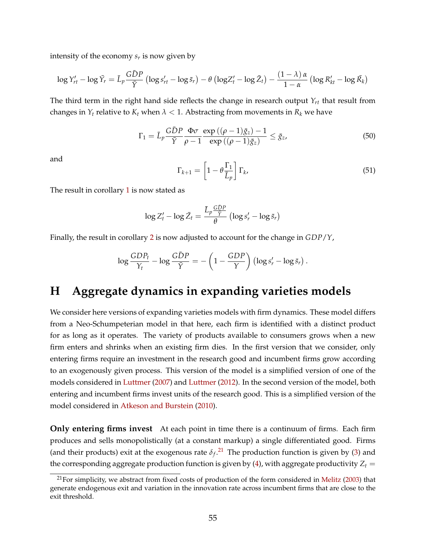intensity of the economy *s<sup>r</sup>* is now given by

$$
\log Y'_{rt} - \log \bar{Y}_r = \bar{L}_p \frac{G\bar{D}P}{\bar{Y}} \left( \log s'_{rt} - \log \bar{s}_r \right) - \theta \left( \log Z'_t - \log \bar{Z}_t \right) - \frac{(1-\lambda)\alpha}{1-\alpha} \left( \log R'_{kt} - \log \bar{R}_k \right)
$$

The third term in the right hand side reflects the change in research output *Yrt* that result from changes in  $Y_t$  relative to  $K_t$  when  $\lambda < 1$ . Abstracting from movements in  $R_k$  we have

$$
\Gamma_1 = \bar{L}_p \frac{\bar{G} \bar{D} P}{\bar{Y}} \frac{\Phi \sigma}{\rho - 1} \frac{\exp\left((\rho - 1)\bar{g}_z\right) - 1}{\exp\left((\rho - 1)\bar{g}_z\right)} \le \bar{g}_z,\tag{50}
$$

and

$$
\Gamma_{k+1} = \left[1 - \theta \frac{\Gamma_1}{\bar{L}_p}\right] \Gamma_k,\tag{51}
$$

The result in corollary [1](#page-19-3) is now stated as

$$
\log Z'_t - \log \bar{Z}_t = \frac{\bar{L}_p \frac{G \bar{D} P}{\bar{Y}}}{\theta} \left( \log s'_r - \log \bar{s}_r \right)
$$

Finally, the result in corollary [2](#page-20-2) is now adjusted to account for the change in *GDP*/*Y*,

$$
\log \frac{GDP_t}{Y_t} - \log \frac{G\bar{D}P}{\bar{Y}} = -\left(1 - \frac{GDP}{\bar{Y}}\right) \left(\log s'_r - \log \bar{s}_r\right).
$$

### **H Aggregate dynamics in expanding varieties models**

We consider here versions of expanding varieties models with firm dynamics. These model differs from a Neo-Schumpeterian model in that here, each firm is identified with a distinct product for as long as it operates. The variety of products available to consumers grows when a new firm enters and shrinks when an existing firm dies. In the first version that we consider, only entering firms require an investment in the research good and incumbent firms grow according to an exogenously given process. This version of the model is a simplified version of one of the models considered in [Luttmer](#page-42-3) [\(2007\)](#page-42-3) and [Luttmer](#page-42-9) [\(2012\)](#page-42-9). In the second version of the model, both entering and incumbent firms invest units of the research good. This is a simplified version of the model considered in [Atkeson and Burstein](#page-40-2) [\(2010\)](#page-40-2).

**Only entering firms invest** At each point in time there is a continuum of firms. Each firm produces and sells monopolistically (at a constant markup) a single differentiated good. Firms (and their products) exit at the exogenous rate  $\delta_f$ .<sup>[21](#page-54-0)</sup> The production function is given by [\(3\)](#page-5-3) and the corresponding aggregate production function is given by [\(4\)](#page-5-1), with aggregate productivity  $Z_t =$ 

<span id="page-54-0"></span> $21$ For simplicity, we abstract from fixed costs of production of the form considered in [Melitz](#page-42-8) [\(2003\)](#page-42-8) that generate endogenous exit and variation in the innovation rate across incumbent firms that are close to the exit threshold.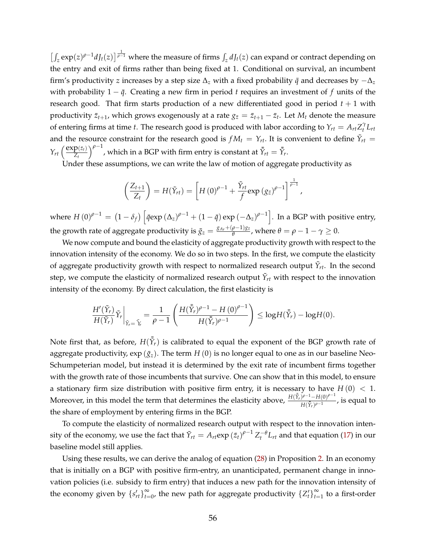$\left[\int_z \exp(z)^{\rho-1} dJ_t(z)\right] \frac{1}{\rho-1}$  where the measure of firms  $\int_z dJ_t(z)$  can expand or contract depending on the entry and exit of firms rather than being fixed at 1. Conditional on survival, an incumbent firm's productivity *z* increases by a step size  $\Delta_z$  with a fixed probability  $\bar{q}$  and decreases by  $-\Delta_z$ with probability  $1 - \bar{q}$ . Creating a new firm in period *t* requires an investment of *f* units of the research good. That firm starts production of a new differentiated good in period  $t + 1$  with productivity  $\bar{z}_{t+1}$ , which grows exogenously at a rate  $g_{\bar{z}}=\bar{z}_{t+1}-\bar{z}_t$ . Let  $M_t$  denote the measure of entering firms at time *t*. The research good is produced with labor according to  $Y_{rt} = A_{rt}Z_t^{\gamma}L_{rt}$ and the resource constraint for the research good is  $fM_t = Y_{rt}$ . It is convenient to define  $\tilde{Y}_{rt}$  =  $Y_{rt}$   $\left(\frac{\exp(z_t)}{Z_t}\right)$ *Zt*  $\int_{0}^{\rho-1}$ , which in a BGP with firm entry is constant at  $\bar{Y}_{rt} = \bar{Y}_{rt}$ .

Under these assumptions, we can write the law of motion of aggregate productivity as

$$
\left(\frac{Z_{t+1}}{Z_t}\right) = H(\tilde{Y}_{rt}) = \left[H(0)^{\rho-1} + \frac{\tilde{Y}_{rt}}{f} \exp(g_{\bar{z}})^{\rho-1}\right]^{\frac{1}{\rho-1}},
$$

where  $H\left(0\right)^{\rho-1}=\left(1-\delta_{f}\right)\left[\bar{q}\text{exp}\left(\Delta_{z}\right)^{\rho-1}+\left(1-\bar{q}\right)\text{exp}\left(-\Delta_{z}\right)^{\rho-1}\right].$  In a BGP with positive entry, the growth rate of aggregate productivity is  $\bar{g}_z = \frac{g_{A_r} + (\rho - 1)g_{\bar{z}}}{\theta}$  $\frac{\rho-1)g_{\bar{z}}}{\theta}$ , where  $\theta = \rho - 1 - \gamma \geq 0$ .

We now compute and bound the elasticity of aggregate productivity growth with respect to the innovation intensity of the economy. We do so in two steps. In the first, we compute the elasticity of aggregate productivity growth with respect to normalized research output  $\tilde{Y}_{rt}$ . In the second step, we compute the elasticity of normalized research output  $\tilde{Y}_{rt}$  with respect to the innovation intensity of the economy. By direct calculation, the first elasticity is

$$
\frac{H'(\tilde{Y}_r)}{H(\tilde{Y}_r)}\tilde{Y}_r\bigg|_{\tilde{Y}_r=\tilde{Y}_r}=\frac{1}{\rho-1}\left(\frac{H(\tilde{\tilde{Y}}_r)^{\rho-1}-H(0)^{\rho-1}}{H(\tilde{\tilde{Y}}_r)^{\rho-1}}\right)\leq \log H(\tilde{\tilde{Y}}_r)-\log H(0).
$$

Note first that, as before,  $H(\tilde{Y}_r)$  is calibrated to equal the exponent of the BGP growth rate of aggregate productivity,  $\exp(\bar{g}_z)$ . The term *H* (0) is no longer equal to one as in our baseline Neo-Schumpeterian model, but instead it is determined by the exit rate of incumbent firms together with the growth rate of those incumbents that survive. One can show that in this model, to ensure a stationary firm size distribution with positive firm entry, it is necessary to have  $H(0) < 1$ . Moreover, in this model the term that determines the elasticity above,  $\frac{H(\bar{Y}_r)^{\rho-1}-H(0)^{\rho-1}}{H(\bar{Y}_r)^{\rho-1}}$  $\frac{y^{\prime} - H(y)}{H(\bar{Y}_r)^{\rho-1}}$ , is equal to the share of employment by entering firms in the BGP.

To compute the elasticity of normalized research output with respect to the innovation intensity of the economy, we use the fact that  $\tilde{Y}_{rt} = A_{rt} \exp{(\bar{z}_t)}^{\rho-1} Z_t^{-\theta} L_{rt}$  and that equation [\(17\)](#page-13-2) in our baseline model still applies.

Using these results, we can derive the analog of equation [\(28\)](#page-18-1) in Proposition [2.](#page-16-1) In an economy that is initially on a BGP with positive firm-entry, an unanticipated, permanent change in innovation policies (i.e. subsidy to firm entry) that induces a new path for the innovation intensity of the economy given by  $\{s'_{rt}\}_{t=1}^{\infty}$  $\sum_{t=0}^{\infty}$ , the new path for aggregate productivity  $\{Z^\prime_t\}_{t=0}^{\infty}$  $\sum_{t=1}^{\infty}$  to a first-order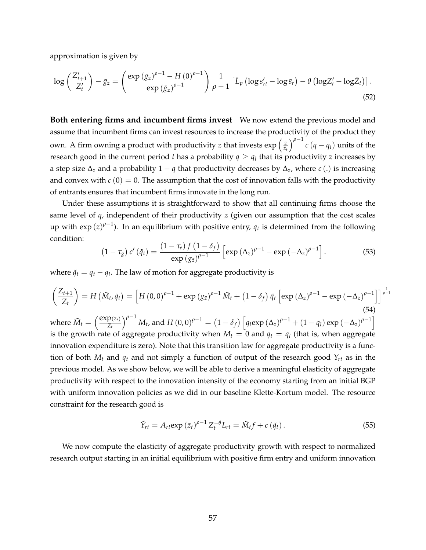approximation is given by

$$
\log\left(\frac{Z'_{t+1}}{Z'_t}\right) - \bar{g}_z = \left(\frac{\exp\left(\bar{g}_z\right)^{\rho-1} - H\left(0\right)^{\rho-1}}{\exp\left(\bar{g}_z\right)^{\rho-1}}\right) \frac{1}{\rho-1} \left[\bar{L}_p\left(\log s'_{rt} - \log \bar{s}_r\right) - \theta\left(\log Z'_t - \log \bar{Z}_t\right)\right].
$$
\n(52)

**Both entering firms and incumbent firms invest** We now extend the previous model and assume that incumbent firms can invest resources to increase the productivity of the product they own. A firm owning a product with productivity *z* that invests  $\exp\left(\frac{z}{\bar{z}}\right)$  $\bar{z}_t$  $\int_{0}^{\rho-1} c (q - q_l)$  units of the research good in the current period *t* has a probability  $q \geq q_l$  that its productivity *z* increases by a step size  $\Delta$ <sub>z</sub> and a probability 1 − *q* that productivity decreases by  $\Delta$ <sub>z</sub>, where *c* (.) is increasing and convex with  $c(0) = 0$ . The assumption that the cost of innovation falls with the productivity of entrants ensures that incumbent firms innovate in the long run.

Under these assumptions it is straightforward to show that all continuing firms choose the same level of *q*, independent of their productivity *z* (given our assumption that the cost scales up with  $\exp{(z)}^{\rho-1}$ ). In an equilibrium with positive entry,  $q_t$  is determined from the following condition:

<span id="page-56-0"></span>
$$
\left(1-\tau_g\right)c'\left(\tilde{q}_t\right)=\frac{\left(1-\tau_e\right)f\left(1-\delta_f\right)}{\exp\left(g_{\bar{z}}\right)^{\rho-1}}\left[\exp\left(\Delta_z\right)^{\rho-1}-\exp\left(-\Delta_z\right)^{\rho-1}\right].\tag{53}
$$

where  $\tilde{q}_t = q_t - q_l$ . The law of motion for aggregate productivity is

<span id="page-56-2"></span>
$$
\left(\frac{Z_{t+1}}{Z_t}\right) = H\left(\tilde{M}_t, \tilde{q}_t\right) = \left[H\left(0, 0\right)^{\rho-1} + \exp\left(g_{\bar{z}}\right)^{\rho-1}\tilde{M}_t + \left(1 - \delta_f\right)\tilde{q}_t\left[\exp\left(\Delta_z\right)^{\rho-1} - \exp\left(-\Delta_z\right)^{\rho-1}\right]\right]^{\frac{1}{\rho-1}}
$$
\n(54)

\nwhere  $\tilde{M}_t = \left(\frac{\exp(z_t)}{Z_t}\right)^{\rho-1}M_t$ , and  $H\left(0, 0\right)^{\rho-1} = \left(1 - \delta_f\right)\left[q_t \exp\left(\Delta_z\right)^{\rho-1} + \left(1 - q_t\right)\exp\left(-\Delta_z\right)^{\rho-1}\right]$ 

*Zt* is the growth rate of aggregate productivity when  $M_t = 0$  and  $q_t = q_l$  (that is, when aggregate innovation expenditure is zero). Note that this transition law for aggregate productivity is a function of both  $M_t$  and  $q_t$  and not simply a function of output of the research good  $Y_{rt}$  as in the previous model. As we show below, we will be able to derive a meaningful elasticity of aggregate productivity with respect to the innovation intensity of the economy starting from an initial BGP with uniform innovation policies as we did in our baseline Klette-Kortum model. The resource constraint for the research good is

<span id="page-56-1"></span>
$$
\tilde{Y}_{rt} = A_{rt} \exp\left(\bar{z}_t\right)^{\rho-1} Z_t^{-\theta} L_{rt} = \tilde{M}_t f + c\left(\tilde{q}_t\right). \tag{55}
$$

We now compute the elasticity of aggregate productivity growth with respect to normalized research output starting in an initial equilibrium with positive firm entry and uniform innovation